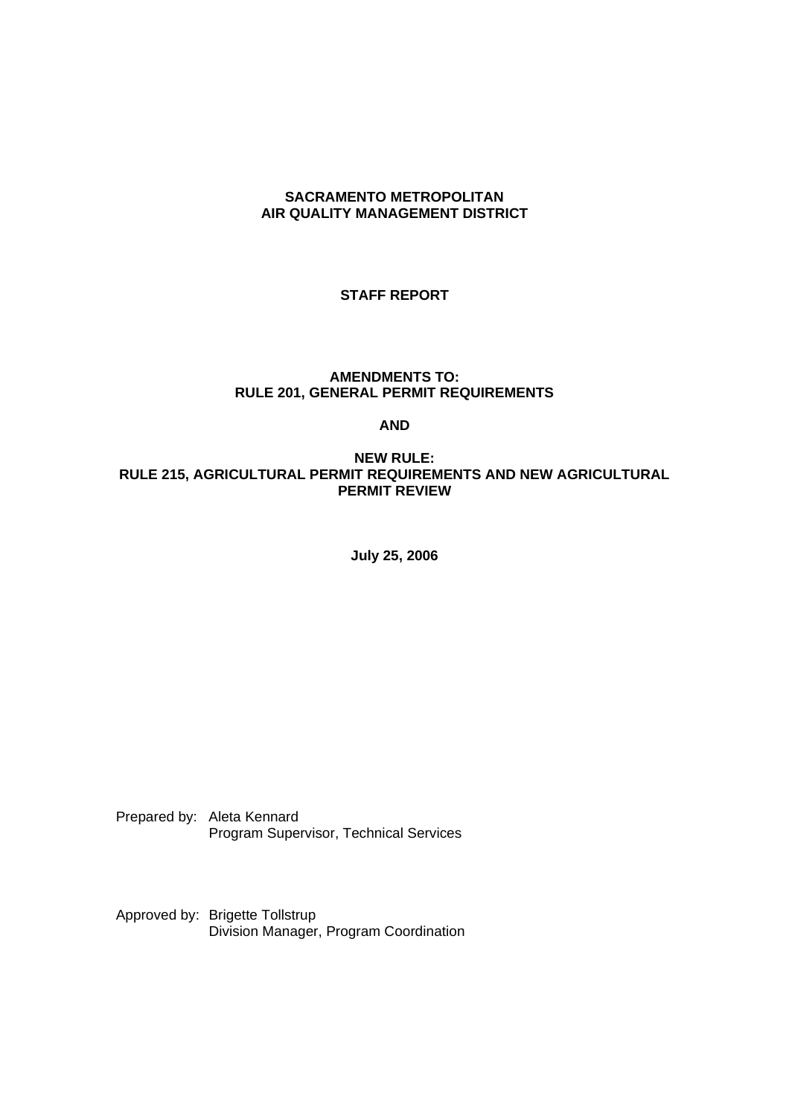### **SACRAMENTO METROPOLITAN AIR QUALITY MANAGEMENT DISTRICT**

# **STAFF REPORT**

### **AMENDMENTS TO: RULE 201, GENERAL PERMIT REQUIREMENTS**

### **AND**

### **NEW RULE: RULE 215, AGRICULTURAL PERMIT REQUIREMENTS AND NEW AGRICULTURAL PERMIT REVIEW**

**July 25, 2006**

Prepared by: Aleta Kennard Program Supervisor, Technical Services

Approved by: Brigette Tollstrup Division Manager, Program Coordination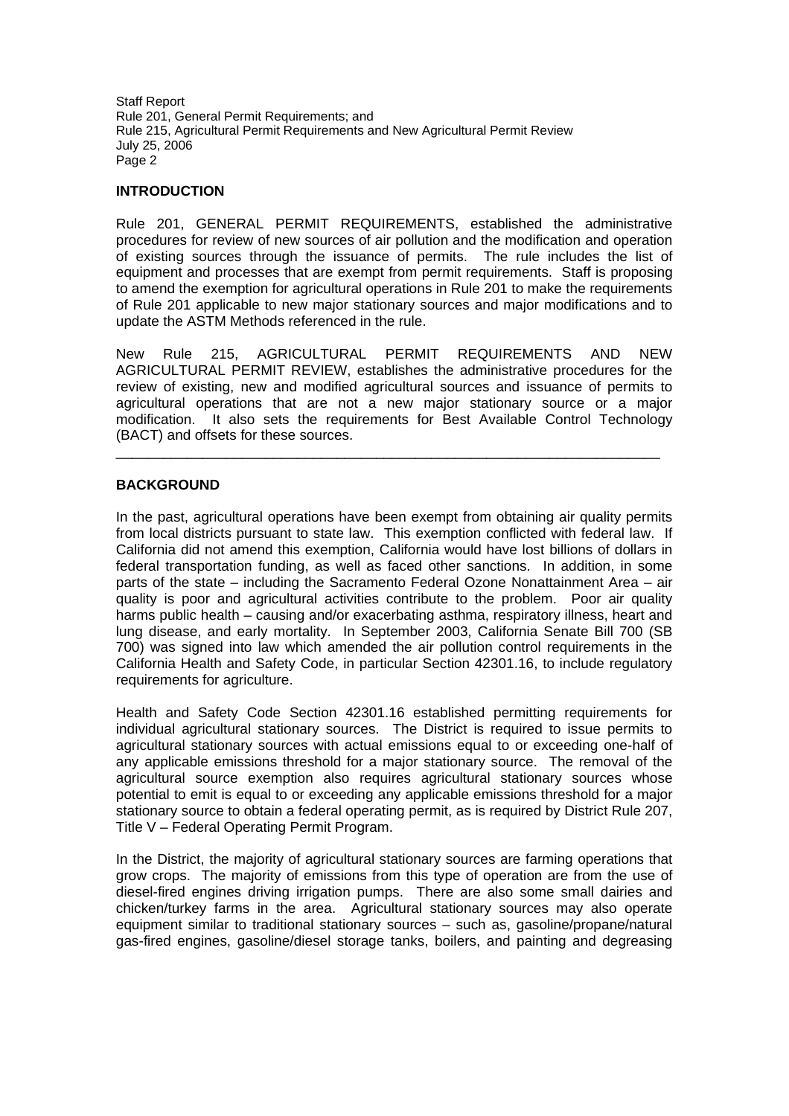# **INTRODUCTION**

Rule 201, GENERAL PERMIT REQUIREMENTS, established the administrative procedures for review of new sources of air pollution and the modification and operation of existing sources through the issuance of permits. The rule includes the list of equipment and processes that are exempt from permit requirements. Staff is proposing to amend the exemption for agricultural operations in Rule 201 to make the requirements of Rule 201 applicable to new major stationary sources and major modifications and to update the ASTM Methods referenced in the rule.

New Rule 215, AGRICULTURAL PERMIT REQUIREMENTS AND NEW AGRICULTURAL PERMIT REVIEW, establishes the administrative procedures for the review of existing, new and modified agricultural sources and issuance of permits to agricultural operations that are not a new major stationary source or a major modification. It also sets the requirements for Best Available Control Technology (BACT) and offsets for these sources.

 $\Box$ 

# **BACKGROUND**

In the past, agricultural operations have been exempt from obtaining air quality permits from local districts pursuant to state law. This exemption conflicted with federal law. If California did not amend this exemption, California would have lost billions of dollars in federal transportation funding, as well as faced other sanctions. In addition, in some parts of the state – including the Sacramento Federal Ozone Nonattainment Area – air quality is poor and agricultural activities contribute to the problem. Poor air quality harms public health – causing and/or exacerbating asthma, respiratory illness, heart and lung disease, and early mortality. In September 2003, California Senate Bill 700 (SB 700) was signed into law which amended the air pollution control requirements in the California Health and Safety Code, in particular Section 42301.16, to include regulatory requirements for agriculture.

Health and Safety Code Section 42301.16 established permitting requirements for individual agricultural stationary sources. The District is required to issue permits to agricultural stationary sources with actual emissions equal to or exceeding one-half of any applicable emissions threshold for a major stationary source. The removal of the agricultural source exemption also requires agricultural stationary sources whose potential to emit is equal to or exceeding any applicable emissions threshold for a major stationary source to obtain a federal operating permit, as is required by District Rule 207, Title V – Federal Operating Permit Program.

In the District, the majority of agricultural stationary sources are farming operations that grow crops. The majority of emissions from this type of operation are from the use of diesel-fired engines driving irrigation pumps. There are also some small dairies and chicken/turkey farms in the area. Agricultural stationary sources may also operate equipment similar to traditional stationary sources – such as, gasoline/propane/natural gas-fired engines, gasoline/diesel storage tanks, boilers, and painting and degreasing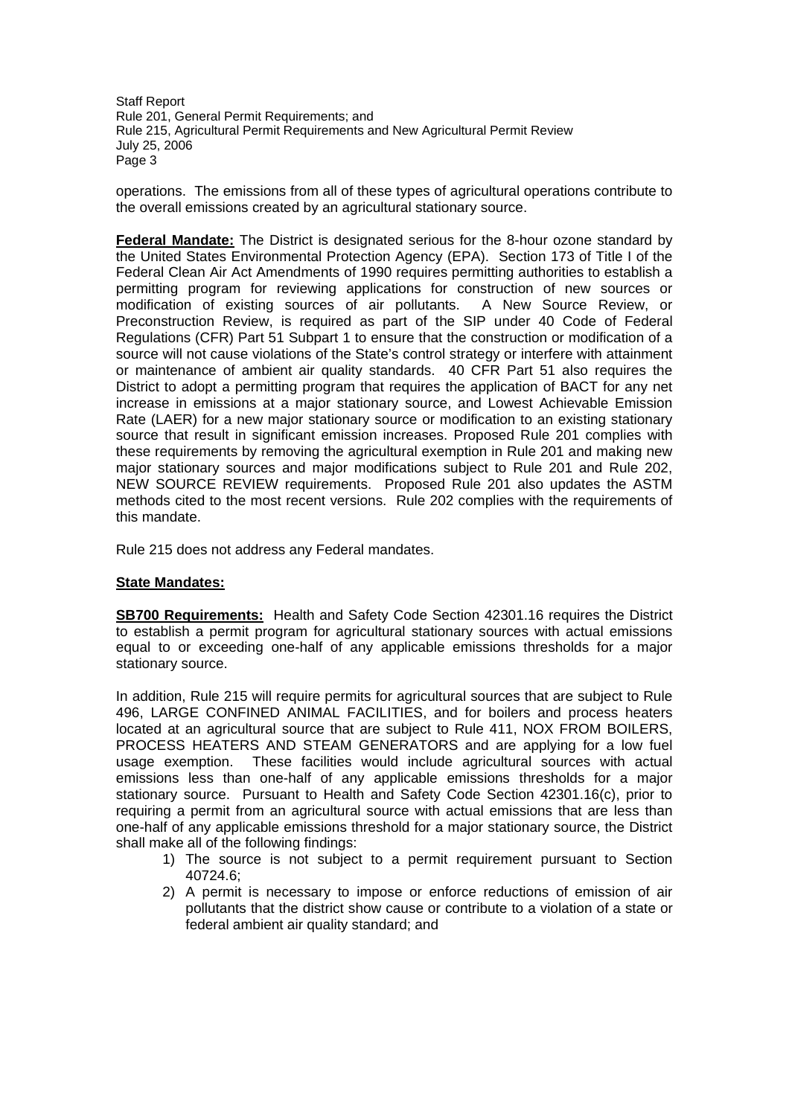operations. The emissions from all of these types of agricultural operations contribute to the overall emissions created by an agricultural stationary source.

**Federal Mandate:** The District is designated serious for the 8-hour ozone standard by the United States Environmental Protection Agency (EPA). Section 173 of Title I of the Federal Clean Air Act Amendments of 1990 requires permitting authorities to establish a permitting program for reviewing applications for construction of new sources or modification of existing sources of air pollutants. A New Source Review, or Preconstruction Review, is required as part of the SIP under 40 Code of Federal Regulations (CFR) Part 51 Subpart 1 to ensure that the construction or modification of a source will not cause violations of the State's control strategy or interfere with attainment or maintenance of ambient air quality standards. 40 CFR Part 51 also requires the District to adopt a permitting program that requires the application of BACT for any net increase in emissions at a major stationary source, and Lowest Achievable Emission Rate (LAER) for a new major stationary source or modification to an existing stationary source that result in significant emission increases. Proposed Rule 201 complies with these requirements by removing the agricultural exemption in Rule 201 and making new major stationary sources and major modifications subject to Rule 201 and Rule 202, NEW SOURCE REVIEW requirements. Proposed Rule 201 also updates the ASTM methods cited to the most recent versions. Rule 202 complies with the requirements of this mandate.

Rule 215 does not address any Federal mandates.

### **State Mandates:**

**SB700 Requirements:** Health and Safety Code Section 42301.16 requires the District to establish a permit program for agricultural stationary sources with actual emissions equal to or exceeding one-half of any applicable emissions thresholds for a major stationary source.

In addition, Rule 215 will require permits for agricultural sources that are subject to Rule 496, LARGE CONFINED ANIMAL FACILITIES, and for boilers and process heaters located at an agricultural source that are subject to Rule 411, NOX FROM BOILERS, PROCESS HEATERS AND STEAM GENERATORS and are applying for a low fuel usage exemption. These facilities would include agricultural sources with actual emissions less than one-half of any applicable emissions thresholds for a major stationary source. Pursuant to Health and Safety Code Section 42301.16(c), prior to requiring a permit from an agricultural source with actual emissions that are less than one-half of any applicable emissions threshold for a major stationary source, the District shall make all of the following findings:

- 1) The source is not subject to a permit requirement pursuant to Section 40724.6;
- 2) A permit is necessary to impose or enforce reductions of emission of air pollutants that the district show cause or contribute to a violation of a state or federal ambient air quality standard; and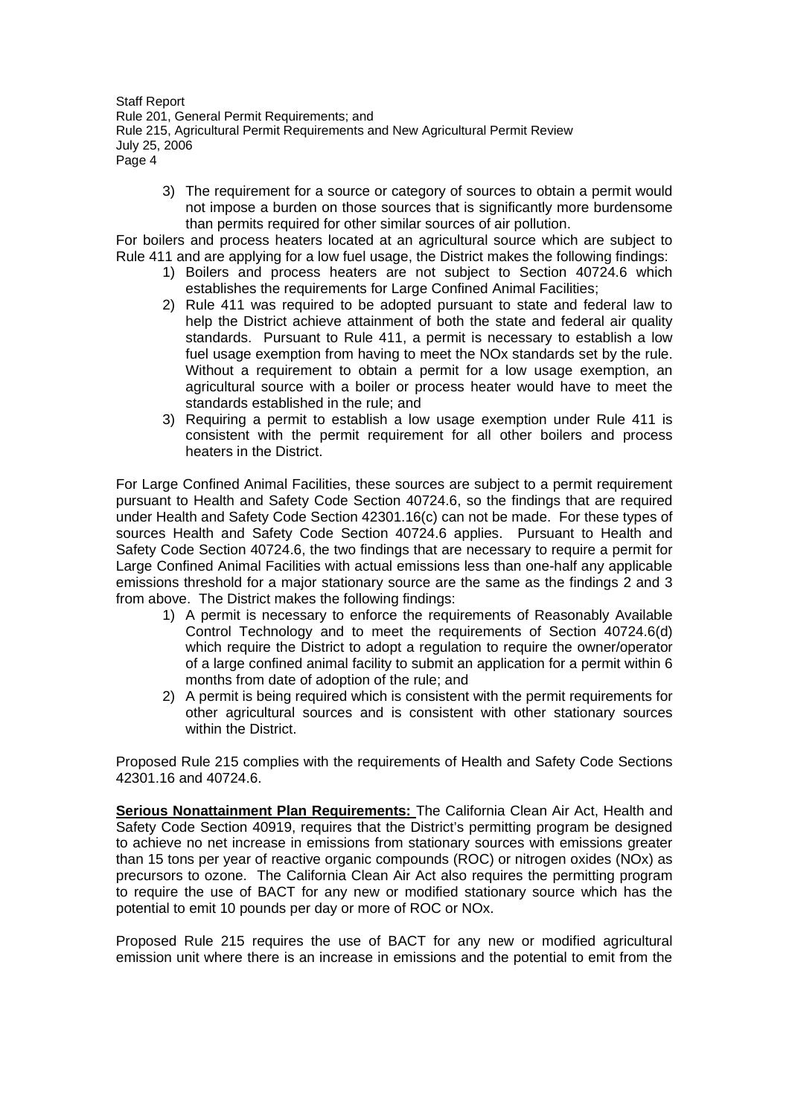3) The requirement for a source or category of sources to obtain a permit would not impose a burden on those sources that is significantly more burdensome than permits required for other similar sources of air pollution.

For boilers and process heaters located at an agricultural source which are subject to Rule 411 and are applying for a low fuel usage, the District makes the following findings:

- 1) Boilers and process heaters are not subject to Section 40724.6 which establishes the requirements for Large Confined Animal Facilities;
- 2) Rule 411 was required to be adopted pursuant to state and federal law to help the District achieve attainment of both the state and federal air quality standards. Pursuant to Rule 411, a permit is necessary to establish a low fuel usage exemption from having to meet the NOx standards set by the rule. Without a requirement to obtain a permit for a low usage exemption, an agricultural source with a boiler or process heater would have to meet the standards established in the rule; and
- 3) Requiring a permit to establish a low usage exemption under Rule 411 is consistent with the permit requirement for all other boilers and process heaters in the District.

For Large Confined Animal Facilities, these sources are subject to a permit requirement pursuant to Health and Safety Code Section 40724.6, so the findings that are required under Health and Safety Code Section 42301.16(c) can not be made. For these types of sources Health and Safety Code Section 40724.6 applies. Pursuant to Health and Safety Code Section 40724.6, the two findings that are necessary to require a permit for Large Confined Animal Facilities with actual emissions less than one-half any applicable emissions threshold for a major stationary source are the same as the findings 2 and 3 from above. The District makes the following findings:

- 1) A permit is necessary to enforce the requirements of Reasonably Available Control Technology and to meet the requirements of Section 40724.6(d) which require the District to adopt a regulation to require the owner/operator of a large confined animal facility to submit an application for a permit within 6 months from date of adoption of the rule; and
- 2) A permit is being required which is consistent with the permit requirements for other agricultural sources and is consistent with other stationary sources within the District.

Proposed Rule 215 complies with the requirements of Health and Safety Code Sections 42301.16 and 40724.6.

**Serious Nonattainment Plan Requirements:** The California Clean Air Act, Health and Safety Code Section 40919, requires that the District's permitting program be designed to achieve no net increase in emissions from stationary sources with emissions greater than 15 tons per year of reactive organic compounds (ROC) or nitrogen oxides (NOx) as precursors to ozone. The California Clean Air Act also requires the permitting program to require the use of BACT for any new or modified stationary source which has the potential to emit 10 pounds per day or more of ROC or NOx.

Proposed Rule 215 requires the use of BACT for any new or modified agricultural emission unit where there is an increase in emissions and the potential to emit from the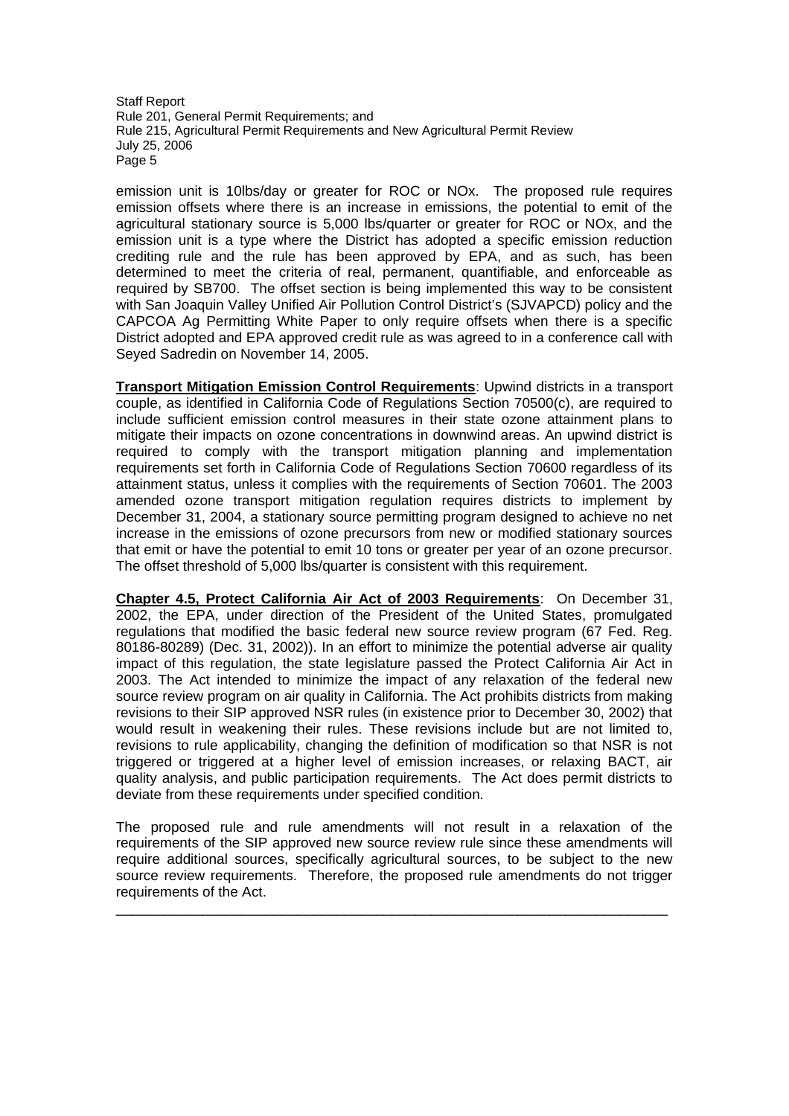emission unit is 10lbs/day or greater for ROC or NOx. The proposed rule requires emission offsets where there is an increase in emissions, the potential to emit of the agricultural stationary source is 5,000 lbs/quarter or greater for ROC or NOx, and the emission unit is a type where the District has adopted a specific emission reduction crediting rule and the rule has been approved by EPA, and as such, has been determined to meet the criteria of real, permanent, quantifiable, and enforceable as required by SB700. The offset section is being implemented this way to be consistent with San Joaquin Valley Unified Air Pollution Control District's (SJVAPCD) policy and the CAPCOA Ag Permitting White Paper to only require offsets when there is a specific District adopted and EPA approved credit rule as was agreed to in a conference call with Seyed Sadredin on November 14, 2005.

**Transport Mitigation Emission Control Requirements**: Upwind districts in a transport couple, as identified in California Code of Regulations Section 70500(c), are required to include sufficient emission control measures in their state ozone attainment plans to mitigate their impacts on ozone concentrations in downwind areas. An upwind district is required to comply with the transport mitigation planning and implementation requirements set forth in California Code of Regulations Section 70600 regardless of its attainment status, unless it complies with the requirements of Section 70601. The 2003 amended ozone transport mitigation regulation requires districts to implement by December 31, 2004, a stationary source permitting program designed to achieve no net increase in the emissions of ozone precursors from new or modified stationary sources that emit or have the potential to emit 10 tons or greater per year of an ozone precursor. The offset threshold of 5,000 lbs/quarter is consistent with this requirement.

**Chapter 4.5, Protect California Air Act of 2003 Requirements**: On December 31, 2002, the EPA, under direction of the President of the United States, promulgated regulations that modified the basic federal new source review program (67 Fed. Reg. 80186-80289) (Dec. 31, 2002)). In an effort to minimize the potential adverse air quality impact of this regulation, the state legislature passed the Protect California Air Act in 2003. The Act intended to minimize the impact of any relaxation of the federal new source review program on air quality in California. The Act prohibits districts from making revisions to their SIP approved NSR rules (in existence prior to December 30, 2002) that would result in weakening their rules. These revisions include but are not limited to, revisions to rule applicability, changing the definition of modification so that NSR is not triggered or triggered at a higher level of emission increases, or relaxing BACT, air quality analysis, and public participation requirements. The Act does permit districts to deviate from these requirements under specified condition.

The proposed rule and rule amendments will not result in a relaxation of the requirements of the SIP approved new source review rule since these amendments will require additional sources, specifically agricultural sources, to be subject to the new source review requirements. Therefore, the proposed rule amendments do not trigger requirements of the Act.

\_\_\_\_\_\_\_\_\_\_\_\_\_\_\_\_\_\_\_\_\_\_\_\_\_\_\_\_\_\_\_\_\_\_\_\_\_\_\_\_\_\_\_\_\_\_\_\_\_\_\_\_\_\_\_\_\_\_\_\_\_\_\_\_\_\_\_\_\_\_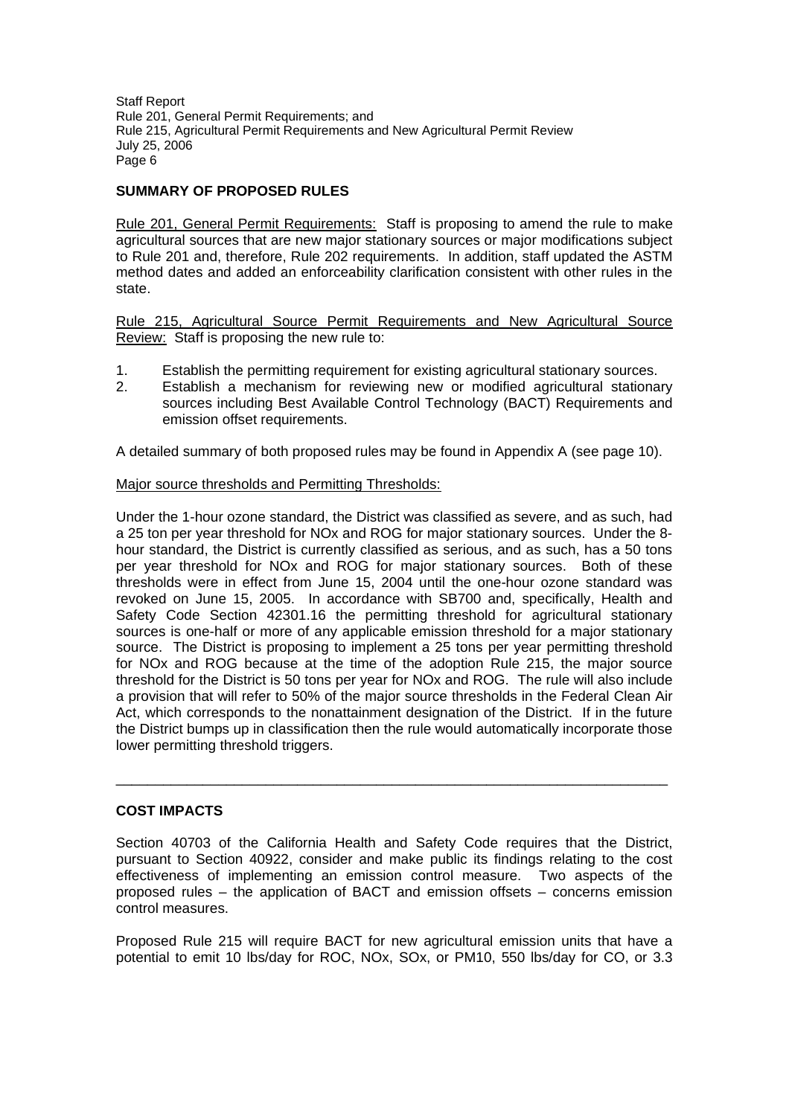# **SUMMARY OF PROPOSED RULES**

Rule 201, General Permit Requirements: Staff is proposing to amend the rule to make agricultural sources that are new major stationary sources or major modifications subject to Rule 201 and, therefore, Rule 202 requirements. In addition, staff updated the ASTM method dates and added an enforceability clarification consistent with other rules in the state.

Rule 215, Agricultural Source Permit Requirements and New Agricultural Source Review: Staff is proposing the new rule to:

- 1. Establish the permitting requirement for existing agricultural stationary sources.
- 2. Establish a mechanism for reviewing new or modified agricultural stationary sources including Best Available Control Technology (BACT) Requirements and emission offset requirements.

A detailed summary of both proposed rules may be found in Appendix A (see page 10).

# Major source thresholds and Permitting Thresholds:

Under the 1-hour ozone standard, the District was classified as severe, and as such, had a 25 ton per year threshold for NOx and ROG for major stationary sources. Under the 8 hour standard, the District is currently classified as serious, and as such, has a 50 tons per year threshold for NOx and ROG for major stationary sources. Both of these thresholds were in effect from June 15, 2004 until the one-hour ozone standard was revoked on June 15, 2005. In accordance with SB700 and, specifically, Health and Safety Code Section 42301.16 the permitting threshold for agricultural stationary sources is one-half or more of any applicable emission threshold for a major stationary source. The District is proposing to implement a 25 tons per year permitting threshold for NOx and ROG because at the time of the adoption Rule 215, the major source threshold for the District is 50 tons per year for NOx and ROG. The rule will also include a provision that will refer to 50% of the major source thresholds in the Federal Clean Air Act, which corresponds to the nonattainment designation of the District. If in the future the District bumps up in classification then the rule would automatically incorporate those lower permitting threshold triggers.

### **COST IMPACTS**

Section 40703 of the California Health and Safety Code requires that the District, pursuant to Section 40922, consider and make public its findings relating to the cost effectiveness of implementing an emission control measure. Two aspects of the proposed rules – the application of BACT and emission offsets – concerns emission control measures.

\_\_\_\_\_\_\_\_\_\_\_\_\_\_\_\_\_\_\_\_\_\_\_\_\_\_\_\_\_\_\_\_\_\_\_\_\_\_\_\_\_\_\_\_\_\_\_\_\_\_\_\_\_\_\_\_\_\_\_\_\_\_\_\_\_\_\_\_\_\_

Proposed Rule 215 will require BACT for new agricultural emission units that have a potential to emit 10 lbs/day for ROC, NOx, SOx, or PM10, 550 lbs/day for CO, or 3.3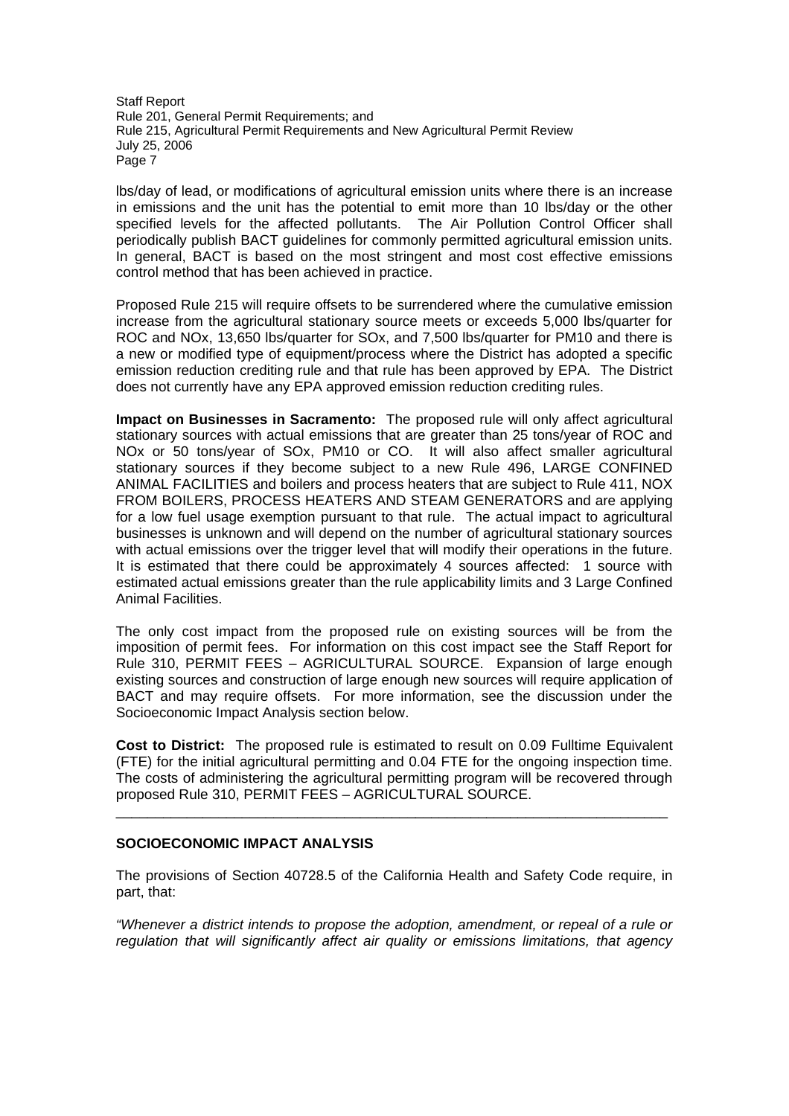lbs/day of lead, or modifications of agricultural emission units where there is an increase in emissions and the unit has the potential to emit more than 10 lbs/day or the other specified levels for the affected pollutants. The Air Pollution Control Officer shall periodically publish BACT guidelines for commonly permitted agricultural emission units. In general, BACT is based on the most stringent and most cost effective emissions control method that has been achieved in practice.

Proposed Rule 215 will require offsets to be surrendered where the cumulative emission increase from the agricultural stationary source meets or exceeds 5,000 lbs/quarter for ROC and NOx, 13,650 lbs/quarter for SOx, and 7,500 lbs/quarter for PM10 and there is a new or modified type of equipment/process where the District has adopted a specific emission reduction crediting rule and that rule has been approved by EPA. The District does not currently have any EPA approved emission reduction crediting rules.

**Impact on Businesses in Sacramento:** The proposed rule will only affect agricultural stationary sources with actual emissions that are greater than 25 tons/year of ROC and NOx or 50 tons/year of SOx, PM10 or CO. It will also affect smaller agricultural stationary sources if they become subject to a new Rule 496, LARGE CONFINED ANIMAL FACILITIES and boilers and process heaters that are subject to Rule 411, NOX FROM BOILERS, PROCESS HEATERS AND STEAM GENERATORS and are applying for a low fuel usage exemption pursuant to that rule. The actual impact to agricultural businesses is unknown and will depend on the number of agricultural stationary sources with actual emissions over the trigger level that will modify their operations in the future. It is estimated that there could be approximately 4 sources affected: 1 source with estimated actual emissions greater than the rule applicability limits and 3 Large Confined Animal Facilities.

The only cost impact from the proposed rule on existing sources will be from the imposition of permit fees. For information on this cost impact see the Staff Report for Rule 310, PERMIT FEES – AGRICULTURAL SOURCE. Expansion of large enough existing sources and construction of large enough new sources will require application of BACT and may require offsets. For more information, see the discussion under the Socioeconomic Impact Analysis section below.

**Cost to District:** The proposed rule is estimated to result on 0.09 Fulltime Equivalent (FTE) for the initial agricultural permitting and 0.04 FTE for the ongoing inspection time. The costs of administering the agricultural permitting program will be recovered through proposed Rule 310, PERMIT FEES – AGRICULTURAL SOURCE.

\_\_\_\_\_\_\_\_\_\_\_\_\_\_\_\_\_\_\_\_\_\_\_\_\_\_\_\_\_\_\_\_\_\_\_\_\_\_\_\_\_\_\_\_\_\_\_\_\_\_\_\_\_\_\_\_\_\_\_\_\_\_\_\_\_\_\_\_\_\_

### **SOCIOECONOMIC IMPACT ANALYSIS**

The provisions of Section 40728.5 of the California Health and Safety Code require, in part, that:

*"Whenever a district intends to propose the adoption, amendment, or repeal of a rule or regulation that will significantly affect air quality or emissions limitations, that agency*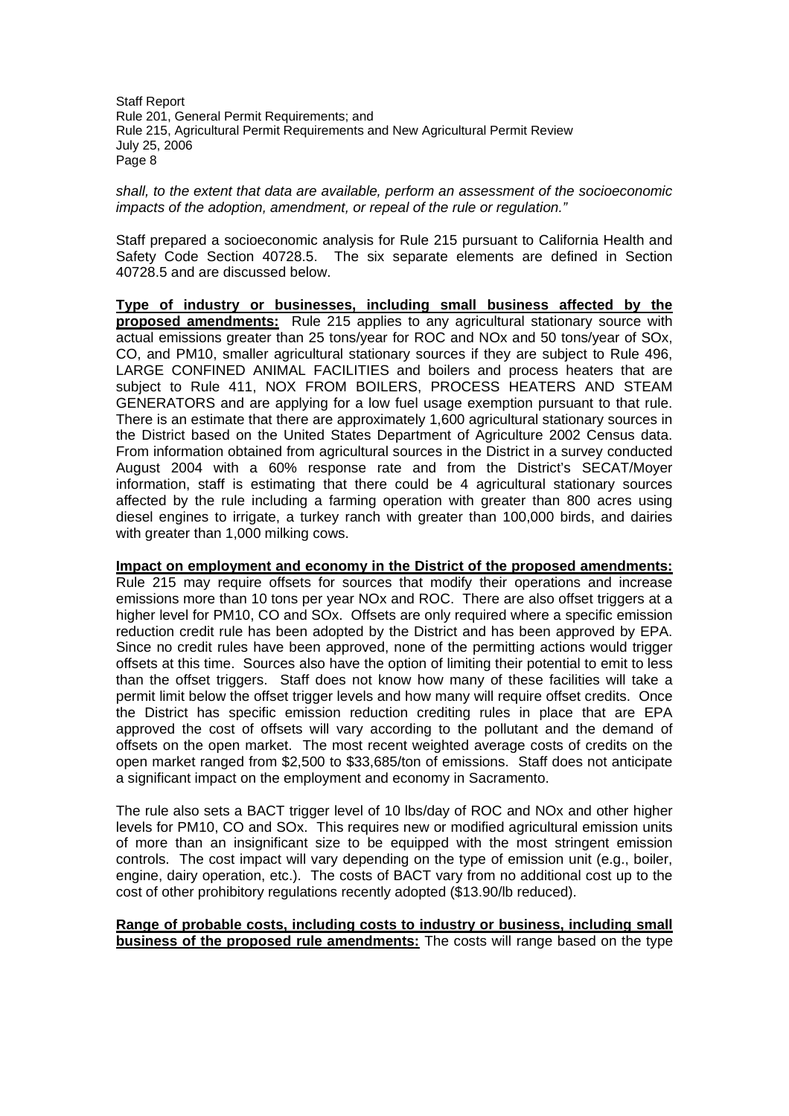*shall, to the extent that data are available, perform an assessment of the socioeconomic impacts of the adoption, amendment, or repeal of the rule or regulation."*

Staff prepared a socioeconomic analysis for Rule 215 pursuant to California Health and Safety Code Section 40728.5. The six separate elements are defined in Section 40728.5 and are discussed below.

**Type of industry or businesses, including small business affected by the proposed amendments:** Rule 215 applies to any agricultural stationary source with actual emissions greater than 25 tons/year for ROC and NOx and 50 tons/year of SOx, CO, and PM10, smaller agricultural stationary sources if they are subject to Rule 496, LARGE CONFINED ANIMAL FACILITIES and boilers and process heaters that are subject to Rule 411, NOX FROM BOILERS, PROCESS HEATERS AND STEAM GENERATORS and are applying for a low fuel usage exemption pursuant to that rule. There is an estimate that there are approximately 1,600 agricultural stationary sources in the District based on the United States Department of Agriculture 2002 Census data. From information obtained from agricultural sources in the District in a survey conducted August 2004 with a 60% response rate and from the District's SECAT/Moyer information, staff is estimating that there could be 4 agricultural stationary sources affected by the rule including a farming operation with greater than 800 acres using diesel engines to irrigate, a turkey ranch with greater than 100,000 birds, and dairies with greater than 1,000 milking cows.

**Impact on employment and economy in the District of the proposed amendments:** Rule 215 may require offsets for sources that modify their operations and increase emissions more than 10 tons per year NOx and ROC. There are also offset triggers at a higher level for PM10, CO and SOx. Offsets are only required where a specific emission reduction credit rule has been adopted by the District and has been approved by EPA. Since no credit rules have been approved, none of the permitting actions would trigger offsets at this time. Sources also have the option of limiting their potential to emit to less than the offset triggers. Staff does not know how many of these facilities will take a permit limit below the offset trigger levels and how many will require offset credits. Once the District has specific emission reduction crediting rules in place that are EPA approved the cost of offsets will vary according to the pollutant and the demand of offsets on the open market. The most recent weighted average costs of credits on the open market ranged from \$2,500 to \$33,685/ton of emissions. Staff does not anticipate a significant impact on the employment and economy in Sacramento.

The rule also sets a BACT trigger level of 10 lbs/day of ROC and NOx and other higher levels for PM10, CO and SOx. This requires new or modified agricultural emission units of more than an insignificant size to be equipped with the most stringent emission controls. The cost impact will vary depending on the type of emission unit (e.g., boiler, engine, dairy operation, etc.). The costs of BACT vary from no additional cost up to the cost of other prohibitory regulations recently adopted (\$13.90/lb reduced).

### **Range of probable costs, including costs to industry or business, including small business of the proposed rule amendments:** The costs will range based on the type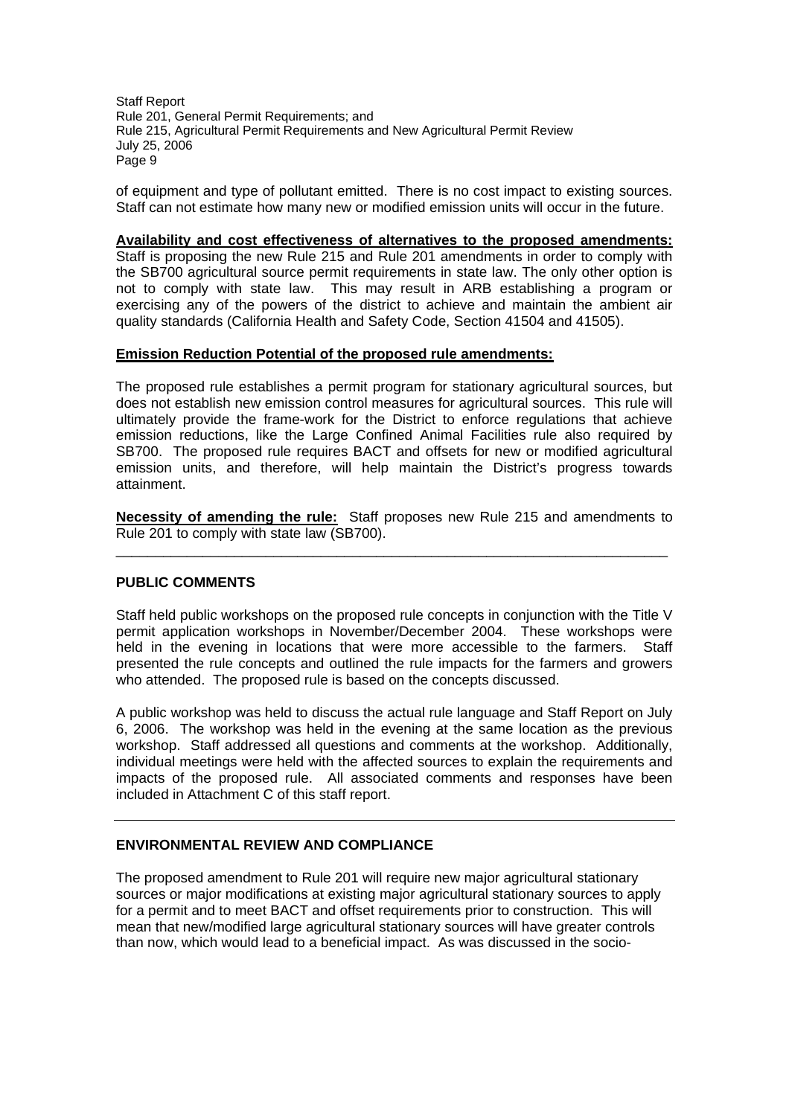of equipment and type of pollutant emitted. There is no cost impact to existing sources. Staff can not estimate how many new or modified emission units will occur in the future.

### **Availability and cost effectiveness of alternatives to the proposed amendments:**

Staff is proposing the new Rule 215 and Rule 201 amendments in order to comply with the SB700 agricultural source permit requirements in state law. The only other option is not to comply with state law. This may result in ARB establishing a program or exercising any of the powers of the district to achieve and maintain the ambient air quality standards (California Health and Safety Code, Section 41504 and 41505).

### **Emission Reduction Potential of the proposed rule amendments:**

The proposed rule establishes a permit program for stationary agricultural sources, but does not establish new emission control measures for agricultural sources. This rule will ultimately provide the frame-work for the District to enforce regulations that achieve emission reductions, like the Large Confined Animal Facilities rule also required by SB700. The proposed rule requires BACT and offsets for new or modified agricultural emission units, and therefore, will help maintain the District's progress towards attainment.

**Necessity of amending the rule:** Staff proposes new Rule 215 and amendments to Rule 201 to comply with state law (SB700).

\_\_\_\_\_\_\_\_\_\_\_\_\_\_\_\_\_\_\_\_\_\_\_\_\_\_\_\_\_\_\_\_\_\_\_\_\_\_\_\_\_\_\_\_\_\_\_\_\_\_\_\_\_\_\_\_\_\_\_\_\_\_\_\_\_\_\_\_\_\_

### **PUBLIC COMMENTS**

Staff held public workshops on the proposed rule concepts in conjunction with the Title V permit application workshops in November/December 2004. These workshops were held in the evening in locations that were more accessible to the farmers. Staff presented the rule concepts and outlined the rule impacts for the farmers and growers who attended. The proposed rule is based on the concepts discussed.

A public workshop was held to discuss the actual rule language and Staff Report on July 6, 2006. The workshop was held in the evening at the same location as the previous workshop. Staff addressed all questions and comments at the workshop. Additionally, individual meetings were held with the affected sources to explain the requirements and impacts of the proposed rule. All associated comments and responses have been included in Attachment C of this staff report.

### **ENVIRONMENTAL REVIEW AND COMPLIANCE**

The proposed amendment to Rule 201 will require new major agricultural stationary sources or major modifications at existing major agricultural stationary sources to apply for a permit and to meet BACT and offset requirements prior to construction. This will mean that new/modified large agricultural stationary sources will have greater controls than now, which would lead to a beneficial impact. As was discussed in the socio-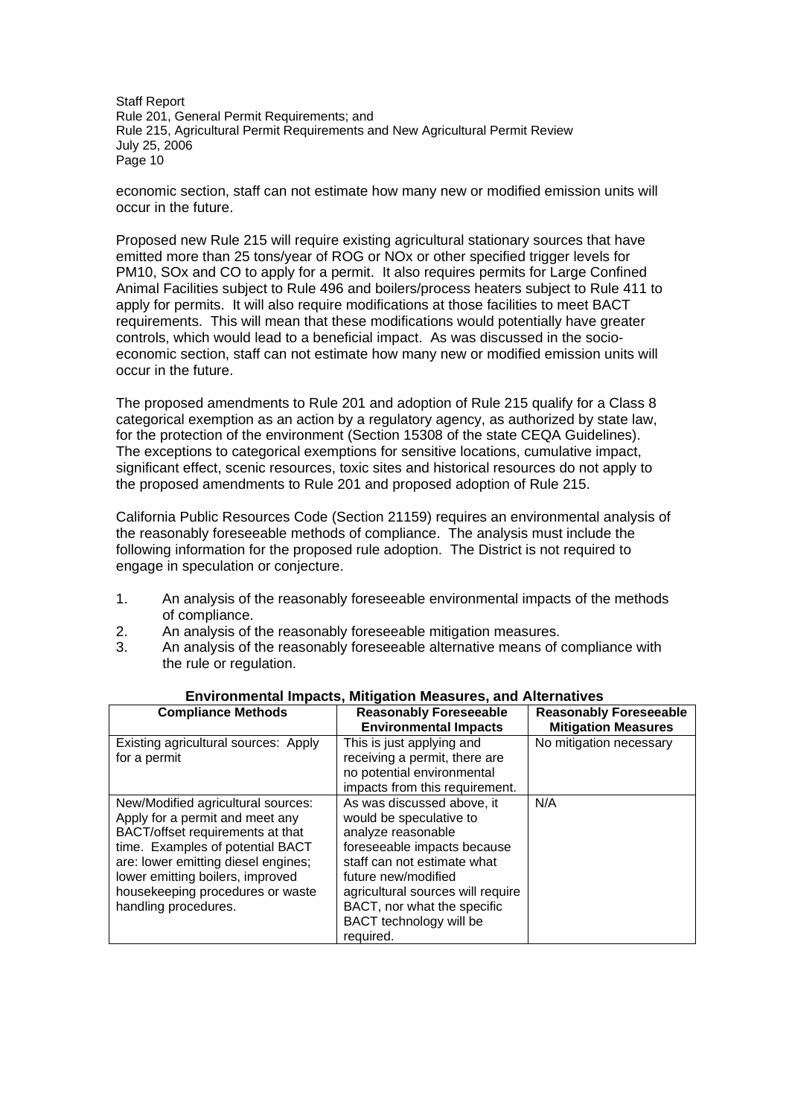economic section, staff can not estimate how many new or modified emission units will occur in the future.

Proposed new Rule 215 will require existing agricultural stationary sources that have emitted more than 25 tons/year of ROG or NOx or other specified trigger levels for PM10, SOx and CO to apply for a permit. It also requires permits for Large Confined Animal Facilities subject to Rule 496 and boilers/process heaters subject to Rule 411 to apply for permits. It will also require modifications at those facilities to meet BACT requirements. This will mean that these modifications would potentially have greater controls, which would lead to a beneficial impact. As was discussed in the socioeconomic section, staff can not estimate how many new or modified emission units will occur in the future.

The proposed amendments to Rule 201 and adoption of Rule 215 qualify for a Class 8 categorical exemption as an action by a regulatory agency, as authorized by state law, for the protection of the environment (Section 15308 of the state CEQA Guidelines). The exceptions to categorical exemptions for sensitive locations, cumulative impact, significant effect, scenic resources, toxic sites and historical resources do not apply to the proposed amendments to Rule 201 and proposed adoption of Rule 215.

California Public Resources Code (Section 21159) requires an environmental analysis of the reasonably foreseeable methods of compliance. The analysis must include the following information for the proposed rule adoption. The District is not required to engage in speculation or conjecture.

- 1. An analysis of the reasonably foreseeable environmental impacts of the methods of compliance.
- 2. An analysis of the reasonably foreseeable mitigation measures.
- 3. An analysis of the reasonably foreseeable alternative means of compliance with the rule or regulation.

| <b>Compliance Methods</b>            | <b>Reasonably Foreseeable</b>     | <b>Reasonably Foreseeable</b> |
|--------------------------------------|-----------------------------------|-------------------------------|
|                                      | <b>Environmental Impacts</b>      | <b>Mitigation Measures</b>    |
| Existing agricultural sources: Apply | This is just applying and         | No mitigation necessary       |
| for a permit                         | receiving a permit, there are     |                               |
|                                      | no potential environmental        |                               |
|                                      | impacts from this requirement.    |                               |
| New/Modified agricultural sources:   | As was discussed above, it        | N/A                           |
| Apply for a permit and meet any      | would be speculative to           |                               |
| BACT/offset requirements at that     | analyze reasonable                |                               |
| time. Examples of potential BACT     | foreseeable impacts because       |                               |
| are: lower emitting diesel engines;  | staff can not estimate what       |                               |
| lower emitting boilers, improved     | future new/modified               |                               |
| housekeeping procedures or waste     | agricultural sources will require |                               |
| handling procedures.                 | BACT, nor what the specific       |                               |
|                                      | BACT technology will be           |                               |
|                                      | reauired.                         |                               |

# **Environmental Impacts, Mitigation Measures, and Alternatives**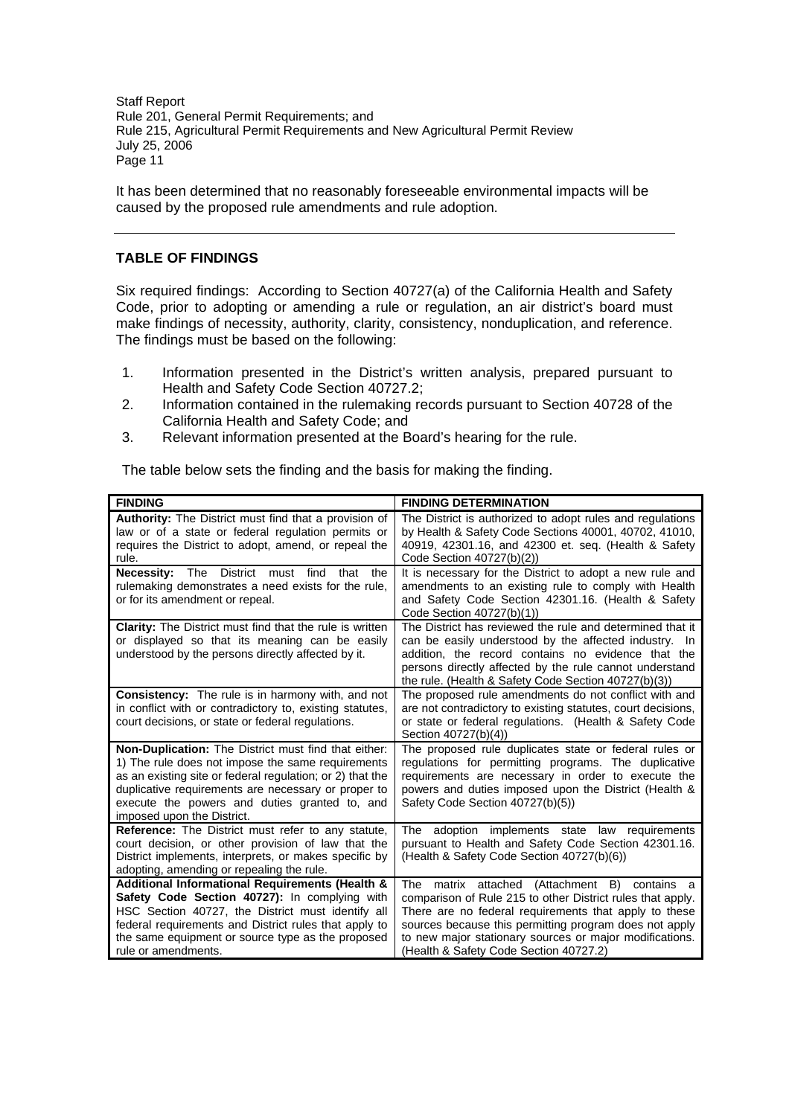It has been determined that no reasonably foreseeable environmental impacts will be caused by the proposed rule amendments and rule adoption.

# **TABLE OF FINDINGS**

Six required findings: According to Section 40727(a) of the California Health and Safety Code, prior to adopting or amending a rule or regulation, an air district's board must make findings of necessity, authority, clarity, consistency, nonduplication, and reference. The findings must be based on the following:

- 1. Information presented in the District's written analysis, prepared pursuant to Health and Safety Code Section 40727.2;
- 2. Information contained in the rulemaking records pursuant to Section 40728 of the California Health and Safety Code; and
- 3. Relevant information presented at the Board's hearing for the rule.

The table below sets the finding and the basis for making the finding.

| <b>FINDING</b>                                                                                                                                                                                                                                                                                               | <b>FINDING DETERMINATION</b>                                                                                                                                                                                                                                                                                                           |
|--------------------------------------------------------------------------------------------------------------------------------------------------------------------------------------------------------------------------------------------------------------------------------------------------------------|----------------------------------------------------------------------------------------------------------------------------------------------------------------------------------------------------------------------------------------------------------------------------------------------------------------------------------------|
| <b>Authority:</b> The District must find that a provision of<br>law or of a state or federal regulation permits or<br>requires the District to adopt, amend, or repeal the<br>rule.                                                                                                                          | The District is authorized to adopt rules and regulations<br>by Health & Safety Code Sections 40001, 40702, 41010,<br>40919, 42301.16, and 42300 et. seq. (Health & Safety<br>Code Section 40727(b)(2))                                                                                                                                |
| <b>Necessity:</b> The District must find<br>that the<br>rulemaking demonstrates a need exists for the rule,<br>or for its amendment or repeal.                                                                                                                                                               | It is necessary for the District to adopt a new rule and<br>amendments to an existing rule to comply with Health<br>and Safety Code Section 42301.16. (Health & Safety<br>Code Section 40727(b)(1))                                                                                                                                    |
| <b>Clarity:</b> The District must find that the rule is written<br>or displayed so that its meaning can be easily<br>understood by the persons directly affected by it.                                                                                                                                      | The District has reviewed the rule and determined that it<br>can be easily understood by the affected industry. In<br>addition, the record contains no evidence that the<br>persons directly affected by the rule cannot understand<br>the rule. (Health & Safety Code Section 40727(b)(3))                                            |
| <b>Consistency:</b> The rule is in harmony with, and not<br>in conflict with or contradictory to, existing statutes,<br>court decisions, or state or federal regulations.                                                                                                                                    | The proposed rule amendments do not conflict with and<br>are not contradictory to existing statutes, court decisions,<br>or state or federal regulations. (Health & Safety Code<br>Section 40727(b)(4))                                                                                                                                |
| Non-Duplication: The District must find that either:<br>1) The rule does not impose the same requirements<br>as an existing site or federal regulation; or 2) that the<br>duplicative requirements are necessary or proper to<br>execute the powers and duties granted to, and<br>imposed upon the District. | The proposed rule duplicates state or federal rules or<br>regulations for permitting programs. The duplicative<br>requirements are necessary in order to execute the<br>powers and duties imposed upon the District (Health &<br>Safety Code Section 40727(b)(5))                                                                      |
| Reference: The District must refer to any statute,<br>court decision, or other provision of law that the<br>District implements, interprets, or makes specific by<br>adopting, amending or repealing the rule.                                                                                               | The adoption implements state law requirements<br>pursuant to Health and Safety Code Section 42301.16.<br>(Health & Safety Code Section 40727(b)(6))                                                                                                                                                                                   |
| Additional Informational Requirements (Health &<br>Safety Code Section 40727): In complying with<br>HSC Section 40727, the District must identify all<br>federal requirements and District rules that apply to<br>the same equipment or source type as the proposed<br>rule or amendments.                   | matrix attached (Attachment B) contains a<br>The<br>comparison of Rule 215 to other District rules that apply.<br>There are no federal requirements that apply to these<br>sources because this permitting program does not apply<br>to new major stationary sources or major modifications.<br>(Health & Safety Code Section 40727.2) |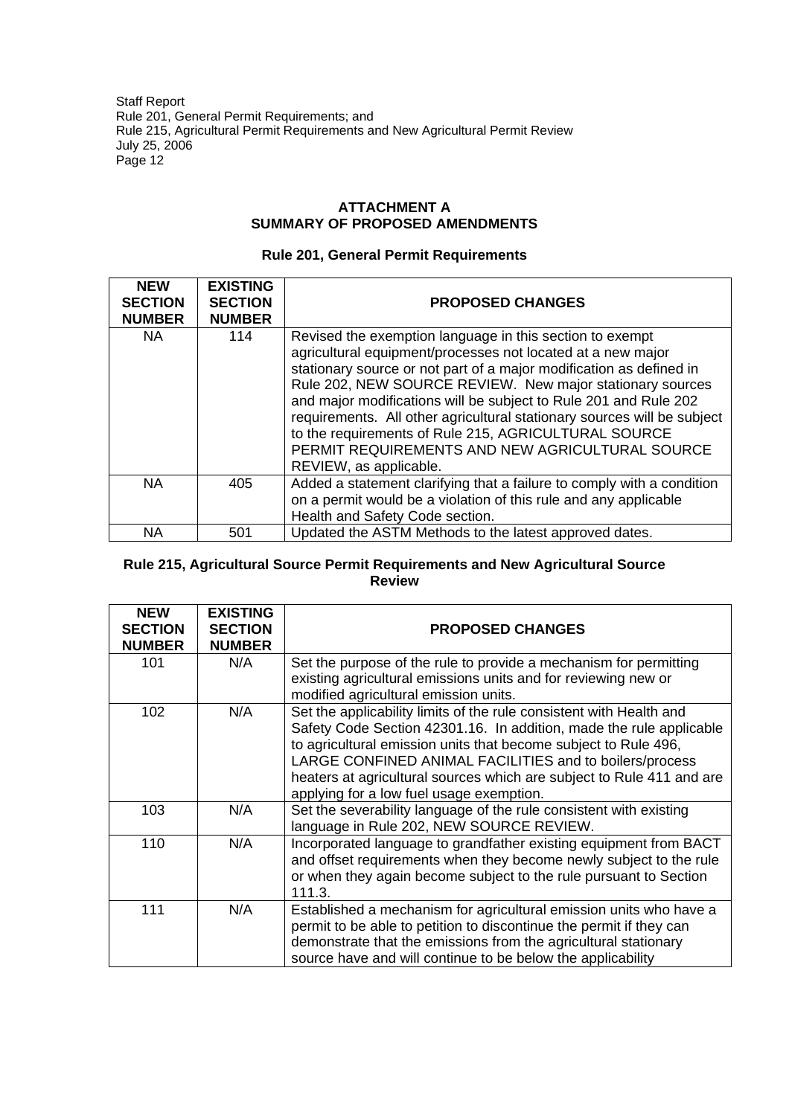### **ATTACHMENT A SUMMARY OF PROPOSED AMENDMENTS**

# **Rule 201, General Permit Requirements**

| <b>NEW</b><br><b>SECTION</b><br><b>NUMBER</b> | <b>EXISTING</b><br><b>SECTION</b><br><b>NUMBER</b> | <b>PROPOSED CHANGES</b>                                                                                                                                                                                                                                                                                                                                                                                                                                                                                                                         |
|-----------------------------------------------|----------------------------------------------------|-------------------------------------------------------------------------------------------------------------------------------------------------------------------------------------------------------------------------------------------------------------------------------------------------------------------------------------------------------------------------------------------------------------------------------------------------------------------------------------------------------------------------------------------------|
| NA.                                           | 114                                                | Revised the exemption language in this section to exempt<br>agricultural equipment/processes not located at a new major<br>stationary source or not part of a major modification as defined in<br>Rule 202, NEW SOURCE REVIEW. New major stationary sources<br>and major modifications will be subject to Rule 201 and Rule 202<br>requirements. All other agricultural stationary sources will be subject<br>to the requirements of Rule 215, AGRICULTURAL SOURCE<br>PERMIT REQUIREMENTS AND NEW AGRICULTURAL SOURCE<br>REVIEW, as applicable. |
| <b>NA</b>                                     | 405                                                | Added a statement clarifying that a failure to comply with a condition<br>on a permit would be a violation of this rule and any applicable<br>Health and Safety Code section.                                                                                                                                                                                                                                                                                                                                                                   |
| <b>NA</b>                                     | 501                                                | Updated the ASTM Methods to the latest approved dates.                                                                                                                                                                                                                                                                                                                                                                                                                                                                                          |

# **Rule 215, Agricultural Source Permit Requirements and New Agricultural Source Review**

| <b>NEW</b><br><b>SECTION</b> | <b>EXISTING</b><br><b>SECTION</b> | <b>PROPOSED CHANGES</b>                                                                                                                                                                                                                                                                                                                                                                       |
|------------------------------|-----------------------------------|-----------------------------------------------------------------------------------------------------------------------------------------------------------------------------------------------------------------------------------------------------------------------------------------------------------------------------------------------------------------------------------------------|
| <b>NUMBER</b>                | <b>NUMBER</b>                     |                                                                                                                                                                                                                                                                                                                                                                                               |
| 101                          | N/A                               | Set the purpose of the rule to provide a mechanism for permitting<br>existing agricultural emissions units and for reviewing new or<br>modified agricultural emission units.                                                                                                                                                                                                                  |
| 102                          | N/A                               | Set the applicability limits of the rule consistent with Health and<br>Safety Code Section 42301.16. In addition, made the rule applicable<br>to agricultural emission units that become subject to Rule 496,<br>LARGE CONFINED ANIMAL FACILITIES and to boilers/process<br>heaters at agricultural sources which are subject to Rule 411 and are<br>applying for a low fuel usage exemption. |
| 103                          | N/A                               | Set the severability language of the rule consistent with existing<br>language in Rule 202, NEW SOURCE REVIEW.                                                                                                                                                                                                                                                                                |
| 110                          | N/A                               | Incorporated language to grandfather existing equipment from BACT<br>and offset requirements when they become newly subject to the rule<br>or when they again become subject to the rule pursuant to Section<br>111.3.                                                                                                                                                                        |
| 111                          | N/A                               | Established a mechanism for agricultural emission units who have a<br>permit to be able to petition to discontinue the permit if they can<br>demonstrate that the emissions from the agricultural stationary<br>source have and will continue to be below the applicability                                                                                                                   |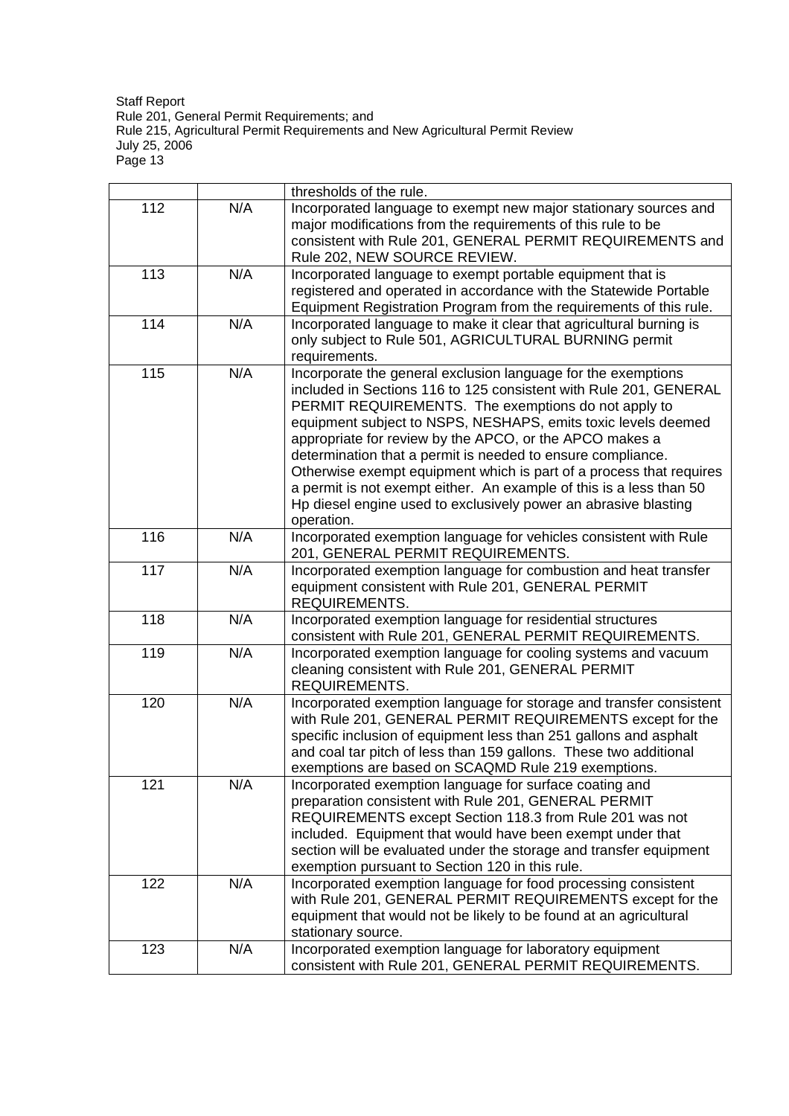|     |     | thresholds of the rule.                                                                                                                                                                                                                                                                                                                                                                                                                                                                                                                                                                                             |
|-----|-----|---------------------------------------------------------------------------------------------------------------------------------------------------------------------------------------------------------------------------------------------------------------------------------------------------------------------------------------------------------------------------------------------------------------------------------------------------------------------------------------------------------------------------------------------------------------------------------------------------------------------|
| 112 | N/A | Incorporated language to exempt new major stationary sources and<br>major modifications from the requirements of this rule to be<br>consistent with Rule 201, GENERAL PERMIT REQUIREMENTS and<br>Rule 202, NEW SOURCE REVIEW.                                                                                                                                                                                                                                                                                                                                                                                       |
| 113 | N/A | Incorporated language to exempt portable equipment that is<br>registered and operated in accordance with the Statewide Portable<br>Equipment Registration Program from the requirements of this rule.                                                                                                                                                                                                                                                                                                                                                                                                               |
| 114 | N/A | Incorporated language to make it clear that agricultural burning is<br>only subject to Rule 501, AGRICULTURAL BURNING permit<br>requirements.                                                                                                                                                                                                                                                                                                                                                                                                                                                                       |
| 115 | N/A | Incorporate the general exclusion language for the exemptions<br>included in Sections 116 to 125 consistent with Rule 201, GENERAL<br>PERMIT REQUIREMENTS. The exemptions do not apply to<br>equipment subject to NSPS, NESHAPS, emits toxic levels deemed<br>appropriate for review by the APCO, or the APCO makes a<br>determination that a permit is needed to ensure compliance.<br>Otherwise exempt equipment which is part of a process that requires<br>a permit is not exempt either. An example of this is a less than 50<br>Hp diesel engine used to exclusively power an abrasive blasting<br>operation. |
| 116 | N/A | Incorporated exemption language for vehicles consistent with Rule<br>201, GENERAL PERMIT REQUIREMENTS.                                                                                                                                                                                                                                                                                                                                                                                                                                                                                                              |
| 117 | N/A | Incorporated exemption language for combustion and heat transfer<br>equipment consistent with Rule 201, GENERAL PERMIT<br>REQUIREMENTS.                                                                                                                                                                                                                                                                                                                                                                                                                                                                             |
| 118 | N/A | Incorporated exemption language for residential structures<br>consistent with Rule 201, GENERAL PERMIT REQUIREMENTS.                                                                                                                                                                                                                                                                                                                                                                                                                                                                                                |
| 119 | N/A | Incorporated exemption language for cooling systems and vacuum<br>cleaning consistent with Rule 201, GENERAL PERMIT<br>REQUIREMENTS.                                                                                                                                                                                                                                                                                                                                                                                                                                                                                |
| 120 | N/A | Incorporated exemption language for storage and transfer consistent<br>with Rule 201, GENERAL PERMIT REQUIREMENTS except for the<br>specific inclusion of equipment less than 251 gallons and asphalt<br>and coal tar pitch of less than 159 gallons. These two additional<br>exemptions are based on SCAQMD Rule 219 exemptions.                                                                                                                                                                                                                                                                                   |
| 121 | N/A | Incorporated exemption language for surface coating and<br>preparation consistent with Rule 201, GENERAL PERMIT<br>REQUIREMENTS except Section 118.3 from Rule 201 was not<br>included. Equipment that would have been exempt under that<br>section will be evaluated under the storage and transfer equipment<br>exemption pursuant to Section 120 in this rule.                                                                                                                                                                                                                                                   |
| 122 | N/A | Incorporated exemption language for food processing consistent<br>with Rule 201, GENERAL PERMIT REQUIREMENTS except for the<br>equipment that would not be likely to be found at an agricultural<br>stationary source.                                                                                                                                                                                                                                                                                                                                                                                              |
| 123 | N/A | Incorporated exemption language for laboratory equipment<br>consistent with Rule 201, GENERAL PERMIT REQUIREMENTS.                                                                                                                                                                                                                                                                                                                                                                                                                                                                                                  |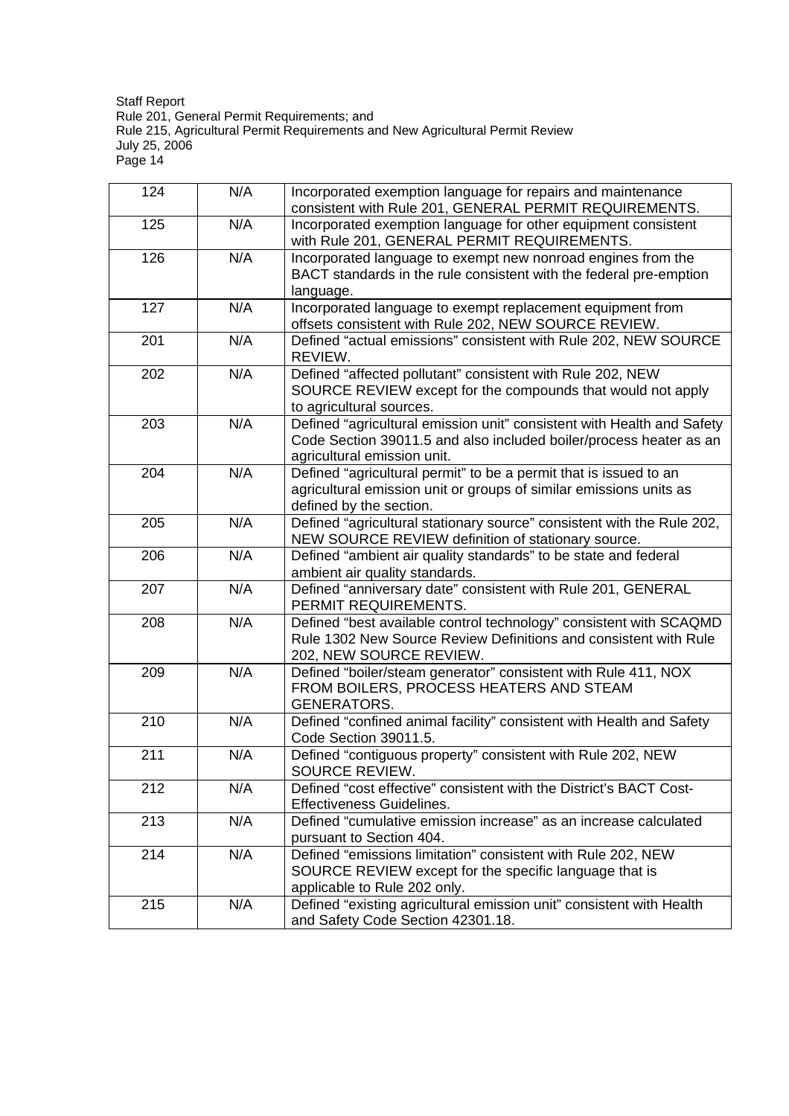| 124 | N/A | Incorporated exemption language for repairs and maintenance<br>consistent with Rule 201, GENERAL PERMIT REQUIREMENTS.                                                       |
|-----|-----|-----------------------------------------------------------------------------------------------------------------------------------------------------------------------------|
| 125 | N/A | Incorporated exemption language for other equipment consistent<br>with Rule 201, GENERAL PERMIT REQUIREMENTS.                                                               |
| 126 | N/A | Incorporated language to exempt new nonroad engines from the<br>BACT standards in the rule consistent with the federal pre-emption<br>language.                             |
| 127 | N/A | Incorporated language to exempt replacement equipment from<br>offsets consistent with Rule 202, NEW SOURCE REVIEW.                                                          |
| 201 | N/A | Defined "actual emissions" consistent with Rule 202, NEW SOURCE<br>REVIEW.                                                                                                  |
| 202 | N/A | Defined "affected pollutant" consistent with Rule 202, NEW<br>SOURCE REVIEW except for the compounds that would not apply<br>to agricultural sources.                       |
| 203 | N/A | Defined "agricultural emission unit" consistent with Health and Safety<br>Code Section 39011.5 and also included boiler/process heater as an<br>agricultural emission unit. |
| 204 | N/A | Defined "agricultural permit" to be a permit that is issued to an<br>agricultural emission unit or groups of similar emissions units as<br>defined by the section.          |
| 205 | N/A | Defined "agricultural stationary source" consistent with the Rule 202,<br>NEW SOURCE REVIEW definition of stationary source.                                                |
| 206 | N/A | Defined "ambient air quality standards" to be state and federal<br>ambient air quality standards.                                                                           |
| 207 | N/A | Defined "anniversary date" consistent with Rule 201, GENERAL<br>PERMIT REQUIREMENTS.                                                                                        |
| 208 | N/A | Defined "best available control technology" consistent with SCAQMD<br>Rule 1302 New Source Review Definitions and consistent with Rule<br>202, NEW SOURCE REVIEW.           |
| 209 | N/A | Defined "boiler/steam generator" consistent with Rule 411, NOX<br>FROM BOILERS, PROCESS HEATERS AND STEAM<br><b>GENERATORS.</b>                                             |
| 210 | N/A | Defined "confined animal facility" consistent with Health and Safety<br>Code Section 39011.5.                                                                               |
| 211 | N/A | Defined "contiguous property" consistent with Rule 202, NEW<br>SOURCE REVIEW.                                                                                               |
| 212 | N/A | Defined "cost effective" consistent with the District's BACT Cost-<br>Effectiveness Guidelines.                                                                             |
| 213 | N/A | Defined "cumulative emission increase" as an increase calculated<br>pursuant to Section 404.                                                                                |
| 214 | N/A | Defined "emissions limitation" consistent with Rule 202, NEW<br>SOURCE REVIEW except for the specific language that is<br>applicable to Rule 202 only.                      |
| 215 | N/A | Defined "existing agricultural emission unit" consistent with Health<br>and Safety Code Section 42301.18.                                                                   |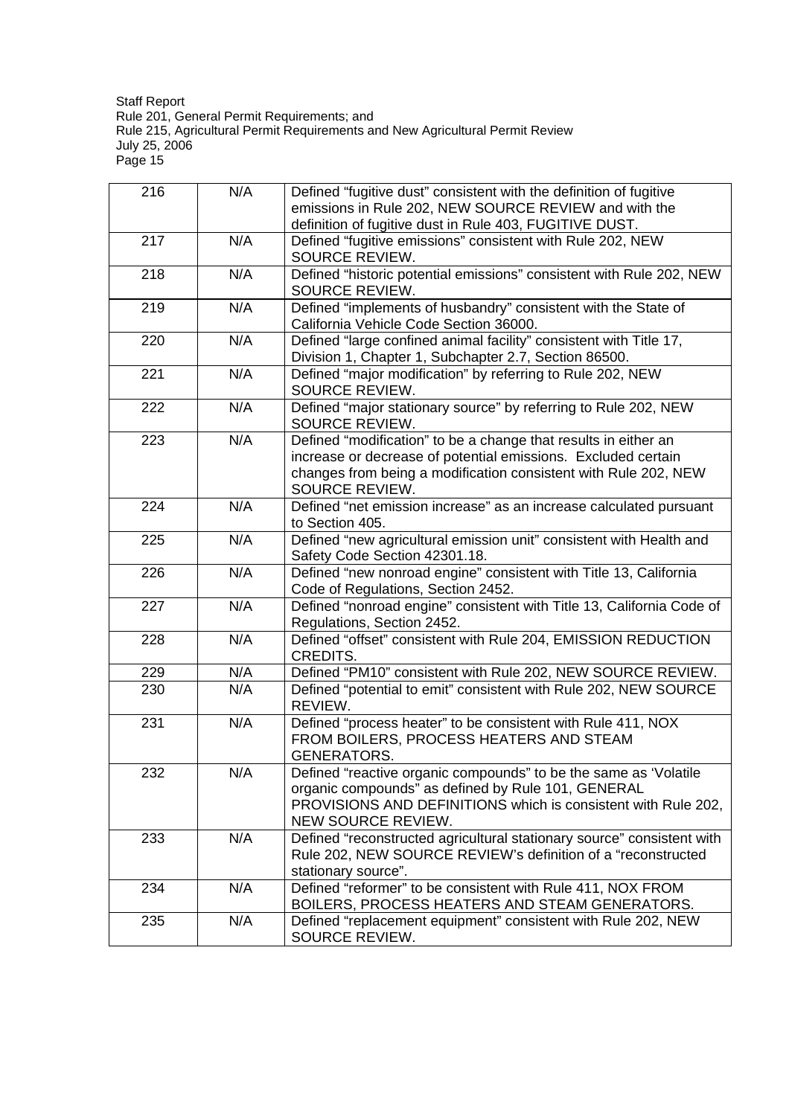| 216 | N/A | Defined "fugitive dust" consistent with the definition of fugitive<br>emissions in Rule 202, NEW SOURCE REVIEW and with the<br>definition of fugitive dust in Rule 403, FUGITIVE DUST.                                |
|-----|-----|-----------------------------------------------------------------------------------------------------------------------------------------------------------------------------------------------------------------------|
| 217 | N/A | Defined "fugitive emissions" consistent with Rule 202, NEW<br>SOURCE REVIEW.                                                                                                                                          |
| 218 | N/A | Defined "historic potential emissions" consistent with Rule 202, NEW<br>SOURCE REVIEW.                                                                                                                                |
| 219 | N/A | Defined "implements of husbandry" consistent with the State of<br>California Vehicle Code Section 36000.                                                                                                              |
| 220 | N/A | Defined "large confined animal facility" consistent with Title 17,<br>Division 1, Chapter 1, Subchapter 2.7, Section 86500.                                                                                           |
| 221 | N/A | Defined "major modification" by referring to Rule 202, NEW<br>SOURCE REVIEW.                                                                                                                                          |
| 222 | N/A | Defined "major stationary source" by referring to Rule 202, NEW<br>SOURCE REVIEW.                                                                                                                                     |
| 223 | N/A | Defined "modification" to be a change that results in either an<br>increase or decrease of potential emissions. Excluded certain<br>changes from being a modification consistent with Rule 202, NEW<br>SOURCE REVIEW. |
| 224 | N/A | Defined "net emission increase" as an increase calculated pursuant<br>to Section 405.                                                                                                                                 |
| 225 | N/A | Defined "new agricultural emission unit" consistent with Health and<br>Safety Code Section 42301.18.                                                                                                                  |
| 226 | N/A | Defined "new nonroad engine" consistent with Title 13, California<br>Code of Regulations, Section 2452.                                                                                                               |
| 227 | N/A | Defined "nonroad engine" consistent with Title 13, California Code of<br>Regulations, Section 2452.                                                                                                                   |
| 228 | N/A | Defined "offset" consistent with Rule 204, EMISSION REDUCTION<br>CREDITS.                                                                                                                                             |
| 229 | N/A | Defined "PM10" consistent with Rule 202, NEW SOURCE REVIEW.                                                                                                                                                           |
| 230 | N/A | Defined "potential to emit" consistent with Rule 202, NEW SOURCE<br>REVIEW.                                                                                                                                           |
| 231 | N/A | Defined "process heater" to be consistent with Rule 411, NOX<br>FROM BOILERS, PROCESS HEATERS AND STEAM<br><b>GENERATORS.</b>                                                                                         |
| 232 | N/A | Defined "reactive organic compounds" to be the same as 'Volatile<br>organic compounds" as defined by Rule 101, GENERAL<br>PROVISIONS AND DEFINITIONS which is consistent with Rule 202,<br>NEW SOURCE REVIEW.         |
| 233 | N/A | Defined "reconstructed agricultural stationary source" consistent with<br>Rule 202, NEW SOURCE REVIEW's definition of a "reconstructed<br>stationary source".                                                         |
| 234 | N/A | Defined "reformer" to be consistent with Rule 411, NOX FROM<br>BOILERS, PROCESS HEATERS AND STEAM GENERATORS.                                                                                                         |
| 235 | N/A | Defined "replacement equipment" consistent with Rule 202, NEW<br>SOURCE REVIEW.                                                                                                                                       |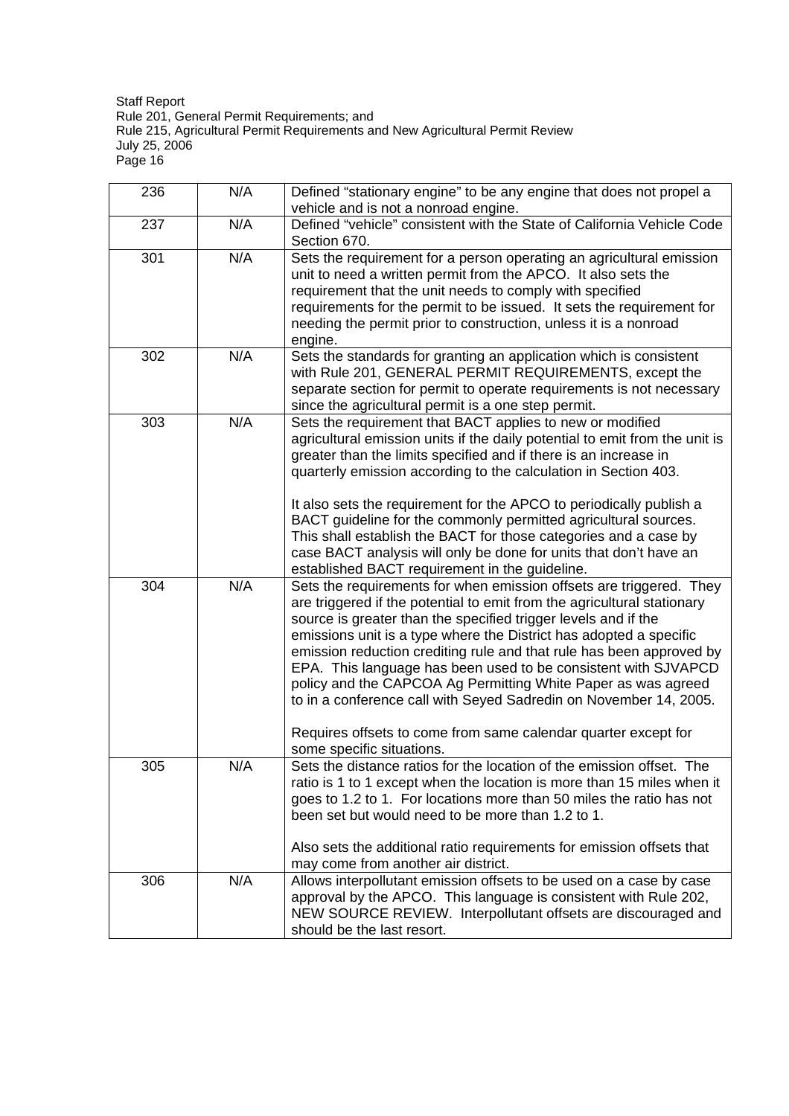| 236 | N/A | Defined "stationary engine" to be any engine that does not propel a<br>vehicle and is not a nonroad engine.                                                                                                                                                                                                                                                                                                                                                                                                                                                                                                                                                           |
|-----|-----|-----------------------------------------------------------------------------------------------------------------------------------------------------------------------------------------------------------------------------------------------------------------------------------------------------------------------------------------------------------------------------------------------------------------------------------------------------------------------------------------------------------------------------------------------------------------------------------------------------------------------------------------------------------------------|
| 237 | N/A | Defined "vehicle" consistent with the State of California Vehicle Code<br>Section 670.                                                                                                                                                                                                                                                                                                                                                                                                                                                                                                                                                                                |
| 301 | N/A | Sets the requirement for a person operating an agricultural emission<br>unit to need a written permit from the APCO. It also sets the<br>requirement that the unit needs to comply with specified<br>requirements for the permit to be issued. It sets the requirement for<br>needing the permit prior to construction, unless it is a nonroad<br>engine.                                                                                                                                                                                                                                                                                                             |
| 302 | N/A | Sets the standards for granting an application which is consistent<br>with Rule 201, GENERAL PERMIT REQUIREMENTS, except the<br>separate section for permit to operate requirements is not necessary<br>since the agricultural permit is a one step permit.                                                                                                                                                                                                                                                                                                                                                                                                           |
| 303 | N/A | Sets the requirement that BACT applies to new or modified<br>agricultural emission units if the daily potential to emit from the unit is<br>greater than the limits specified and if there is an increase in<br>quarterly emission according to the calculation in Section 403.<br>It also sets the requirement for the APCO to periodically publish a<br>BACT guideline for the commonly permitted agricultural sources.<br>This shall establish the BACT for those categories and a case by<br>case BACT analysis will only be done for units that don't have an<br>established BACT requirement in the guideline.                                                  |
| 304 | N/A | Sets the requirements for when emission offsets are triggered. They<br>are triggered if the potential to emit from the agricultural stationary<br>source is greater than the specified trigger levels and if the<br>emissions unit is a type where the District has adopted a specific<br>emission reduction crediting rule and that rule has been approved by<br>EPA. This language has been used to be consistent with SJVAPCD<br>policy and the CAPCOA Ag Permitting White Paper as was agreed<br>to in a conference call with Seyed Sadredin on November 14, 2005.<br>Requires offsets to come from same calendar quarter except for<br>some specific situations. |
| 305 | N/A | Sets the distance ratios for the location of the emission offset. The<br>ratio is 1 to 1 except when the location is more than 15 miles when it<br>goes to 1.2 to 1. For locations more than 50 miles the ratio has not<br>been set but would need to be more than 1.2 to 1.                                                                                                                                                                                                                                                                                                                                                                                          |
|     |     | Also sets the additional ratio requirements for emission offsets that<br>may come from another air district.                                                                                                                                                                                                                                                                                                                                                                                                                                                                                                                                                          |
| 306 | N/A | Allows interpollutant emission offsets to be used on a case by case<br>approval by the APCO. This language is consistent with Rule 202,<br>NEW SOURCE REVIEW. Interpollutant offsets are discouraged and<br>should be the last resort.                                                                                                                                                                                                                                                                                                                                                                                                                                |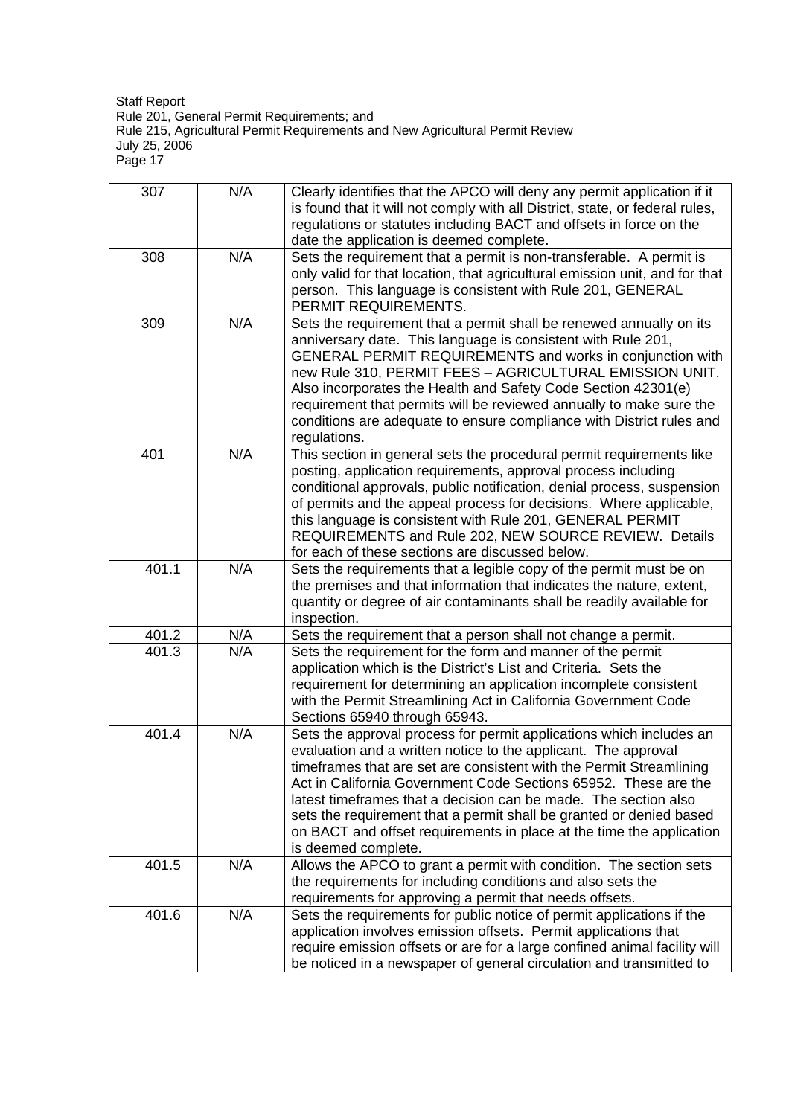| 307   | N/A | Clearly identifies that the APCO will deny any permit application if it<br>is found that it will not comply with all District, state, or federal rules,<br>regulations or statutes including BACT and offsets in force on the<br>date the application is deemed complete.                                                                                                                                                                                                                                                |
|-------|-----|--------------------------------------------------------------------------------------------------------------------------------------------------------------------------------------------------------------------------------------------------------------------------------------------------------------------------------------------------------------------------------------------------------------------------------------------------------------------------------------------------------------------------|
| 308   | N/A | Sets the requirement that a permit is non-transferable. A permit is<br>only valid for that location, that agricultural emission unit, and for that<br>person. This language is consistent with Rule 201, GENERAL<br>PERMIT REQUIREMENTS.                                                                                                                                                                                                                                                                                 |
| 309   | N/A | Sets the requirement that a permit shall be renewed annually on its<br>anniversary date. This language is consistent with Rule 201,<br>GENERAL PERMIT REQUIREMENTS and works in conjunction with<br>new Rule 310, PERMIT FEES - AGRICULTURAL EMISSION UNIT.<br>Also incorporates the Health and Safety Code Section 42301(e)<br>requirement that permits will be reviewed annually to make sure the<br>conditions are adequate to ensure compliance with District rules and<br>regulations.                              |
| 401   | N/A | This section in general sets the procedural permit requirements like<br>posting, application requirements, approval process including<br>conditional approvals, public notification, denial process, suspension<br>of permits and the appeal process for decisions. Where applicable,<br>this language is consistent with Rule 201, GENERAL PERMIT<br>REQUIREMENTS and Rule 202, NEW SOURCE REVIEW. Details<br>for each of these sections are discussed below.                                                           |
| 401.1 | N/A | Sets the requirements that a legible copy of the permit must be on<br>the premises and that information that indicates the nature, extent,<br>quantity or degree of air contaminants shall be readily available for<br>inspection.                                                                                                                                                                                                                                                                                       |
| 401.2 | N/A | Sets the requirement that a person shall not change a permit.                                                                                                                                                                                                                                                                                                                                                                                                                                                            |
| 401.3 | N/A | Sets the requirement for the form and manner of the permit<br>application which is the District's List and Criteria. Sets the<br>requirement for determining an application incomplete consistent<br>with the Permit Streamlining Act in California Government Code<br>Sections 65940 through 65943.                                                                                                                                                                                                                     |
| 401.4 | N/A | Sets the approval process for permit applications which includes an<br>evaluation and a written notice to the applicant. The approval<br>timeframes that are set are consistent with the Permit Streamlining<br>Act in California Government Code Sections 65952. These are the<br>latest timeframes that a decision can be made. The section also<br>sets the requirement that a permit shall be granted or denied based<br>on BACT and offset requirements in place at the time the application<br>is deemed complete. |
| 401.5 | N/A | Allows the APCO to grant a permit with condition. The section sets<br>the requirements for including conditions and also sets the<br>requirements for approving a permit that needs offsets.                                                                                                                                                                                                                                                                                                                             |
| 401.6 | N/A | Sets the requirements for public notice of permit applications if the<br>application involves emission offsets. Permit applications that<br>require emission offsets or are for a large confined animal facility will<br>be noticed in a newspaper of general circulation and transmitted to                                                                                                                                                                                                                             |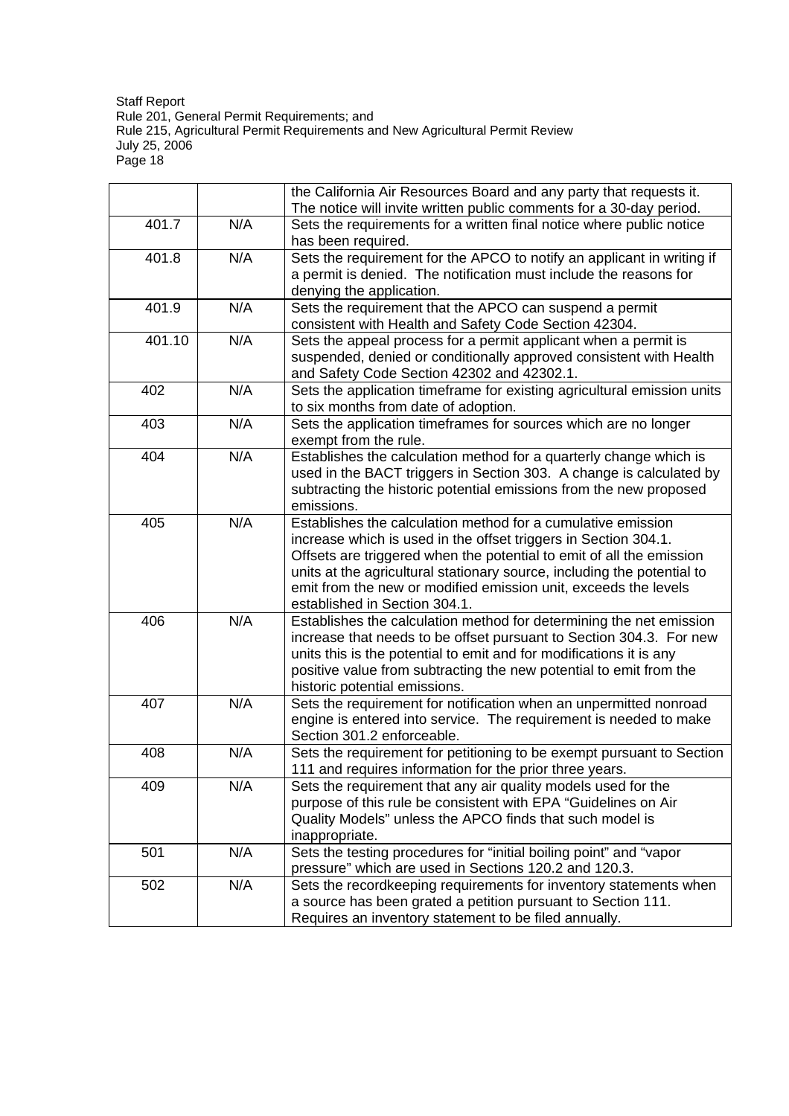|        |     | the California Air Resources Board and any party that requests it.<br>The notice will invite written public comments for a 30-day period.                                                                                                                                                                                                                                              |
|--------|-----|----------------------------------------------------------------------------------------------------------------------------------------------------------------------------------------------------------------------------------------------------------------------------------------------------------------------------------------------------------------------------------------|
| 401.7  | N/A | Sets the requirements for a written final notice where public notice<br>has been required.                                                                                                                                                                                                                                                                                             |
| 401.8  | N/A | Sets the requirement for the APCO to notify an applicant in writing if                                                                                                                                                                                                                                                                                                                 |
|        |     | a permit is denied. The notification must include the reasons for<br>denying the application.                                                                                                                                                                                                                                                                                          |
| 401.9  | N/A | Sets the requirement that the APCO can suspend a permit<br>consistent with Health and Safety Code Section 42304.                                                                                                                                                                                                                                                                       |
| 401.10 | N/A | Sets the appeal process for a permit applicant when a permit is<br>suspended, denied or conditionally approved consistent with Health<br>and Safety Code Section 42302 and 42302.1.                                                                                                                                                                                                    |
| 402    | N/A | Sets the application timeframe for existing agricultural emission units<br>to six months from date of adoption.                                                                                                                                                                                                                                                                        |
| 403    | N/A | Sets the application timeframes for sources which are no longer<br>exempt from the rule.                                                                                                                                                                                                                                                                                               |
| 404    | N/A | Establishes the calculation method for a quarterly change which is<br>used in the BACT triggers in Section 303. A change is calculated by<br>subtracting the historic potential emissions from the new proposed<br>emissions.                                                                                                                                                          |
| 405    | N/A | Establishes the calculation method for a cumulative emission<br>increase which is used in the offset triggers in Section 304.1.<br>Offsets are triggered when the potential to emit of all the emission<br>units at the agricultural stationary source, including the potential to<br>emit from the new or modified emission unit, exceeds the levels<br>established in Section 304.1. |
| 406    | N/A | Establishes the calculation method for determining the net emission<br>increase that needs to be offset pursuant to Section 304.3. For new<br>units this is the potential to emit and for modifications it is any<br>positive value from subtracting the new potential to emit from the<br>historic potential emissions.                                                               |
| 407    | N/A | Sets the requirement for notification when an unpermitted nonroad<br>engine is entered into service. The requirement is needed to make<br>Section 301.2 enforceable.                                                                                                                                                                                                                   |
| 408    | N/A | Sets the requirement for petitioning to be exempt pursuant to Section<br>111 and requires information for the prior three years.                                                                                                                                                                                                                                                       |
| 409    | N/A | Sets the requirement that any air quality models used for the<br>purpose of this rule be consistent with EPA "Guidelines on Air<br>Quality Models" unless the APCO finds that such model is<br>inappropriate.                                                                                                                                                                          |
| 501    | N/A | Sets the testing procedures for "initial boiling point" and "vapor<br>pressure" which are used in Sections 120.2 and 120.3.                                                                                                                                                                                                                                                            |
| 502    | N/A | Sets the recordkeeping requirements for inventory statements when<br>a source has been grated a petition pursuant to Section 111.<br>Requires an inventory statement to be filed annually.                                                                                                                                                                                             |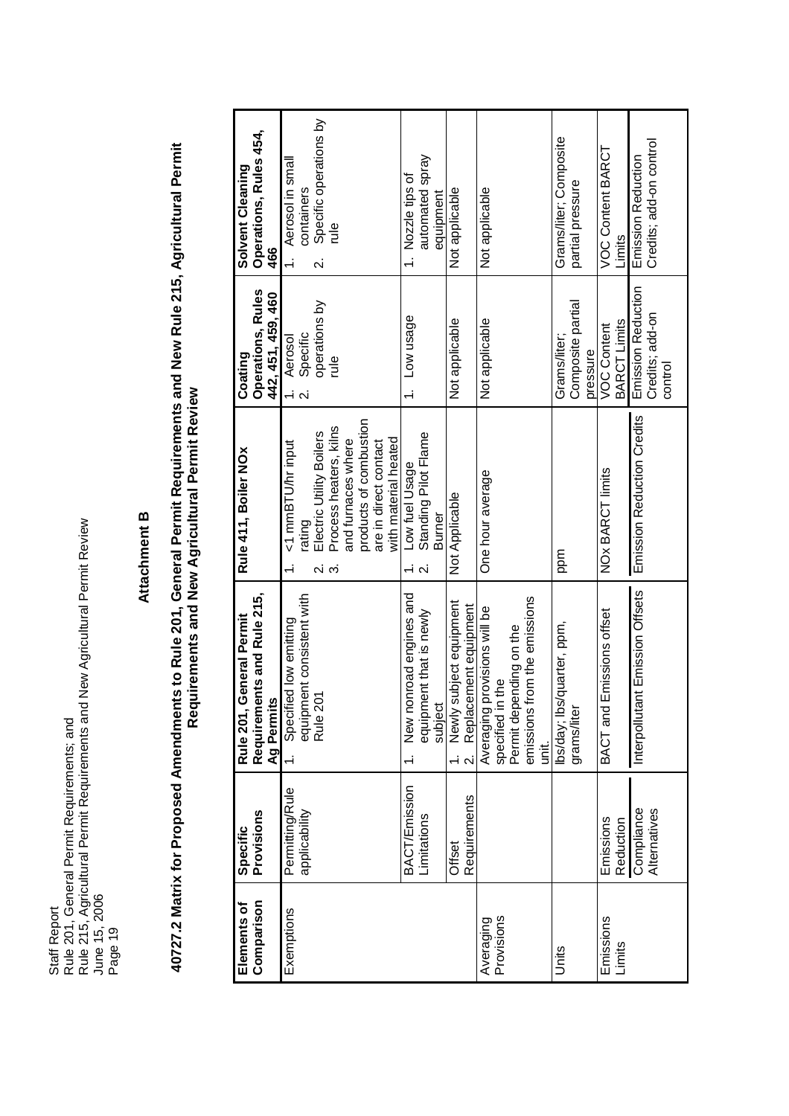# **Attachment B**

40727.2 Matrix for Proposed Amendments to Rule 201, General Permit Requirements and New Rule 215, Agricultural Permit<br>Requirements and New Agricultural Permit Review 40727.2 Matrix for Proposed Amendments to Rule 201, General Permit Requirements and New Rule 215, Agricultural Permit<br>Descriptions of the Description of the Control of the Control of the Control of the Control of the Cont **Requirements and New Agricultural Permit Review**

| Comparison<br>Elements of | Provisions<br>Specific                                               | Requirements and Rule 215,<br>General Permit<br>Ag Permits<br>Rule 201,                                                              | Rule 411, Boiler NOx                                                                                                                                                                          | <b>Operations, Rules</b><br>442, 451, 459, 460<br>Coating                              | Operations, Rules 454,<br>Solvent Cleaning<br>466                                                     |
|---------------------------|----------------------------------------------------------------------|--------------------------------------------------------------------------------------------------------------------------------------|-----------------------------------------------------------------------------------------------------------------------------------------------------------------------------------------------|----------------------------------------------------------------------------------------|-------------------------------------------------------------------------------------------------------|
| Exemptions                | Permitting/Rule<br>applicability                                     | equipment consistent with<br>Specified low emitting<br>Rule 201                                                                      | products of combustion<br>Process heaters, kilns<br>Electric Utility Boilers<br>and furnaces where<br>with material heated<br>are in direct contact<br><1 mmBTU/hr input<br>rating<br>2.<br>က | operations by<br>Aerosol<br>Specific<br>$\frac{1}{2}$<br>$\overline{\mathsf{N}}$       | Specific operations by<br>Aerosol in small<br>containers<br>$\frac{1}{2}$<br>$\overline{\mathcal{N}}$ |
|                           | <b>BACT/Emission</b><br>Requirements<br>Limitations<br><b>Offset</b> | New nonroad engines and<br>Newly subject equipment<br>Replacement equipment<br>equipment that is newly<br>subject<br>$\ddot{\Omega}$ | Standing Pilot Flame<br>Low fuel Usage<br>Not Applicable<br>Burner                                                                                                                            | Low usage<br>Not applicable                                                            | automated spray<br>1. Nozzle tips of<br>Not applicable<br>equipment                                   |
| Provisions<br>Averaging   |                                                                      | from the emissions<br>provisions will be<br>Permit depending on the<br>Averaging provi<br>specified in the<br>emissions<br>init.     | One hour average                                                                                                                                                                              | Not applicable                                                                         | Not applicable                                                                                        |
| Units                     |                                                                      | lbs/day; lbs/quarter, ppm,<br>grams/liter                                                                                            | ppm                                                                                                                                                                                           | Composite partial<br>Grams/liter;<br>pressure                                          | Grams/liter; Composite<br>partial pressure                                                            |
| Emissions<br>Limits       | Compliance<br>Alternatives<br>Emissions<br>Reduction                 | Interpollutant Emission Offsets<br>Emissions offset<br>BACT and                                                                      | Emission Reduction Credits<br>NOx BARCT limits                                                                                                                                                | Emission Reduction<br>Credits; add-on<br>BARCT Limits<br><b>VOC Content</b><br>control | Credits; add-on control<br>VOC Content BARCT<br>Emission Reduction<br>Limits                          |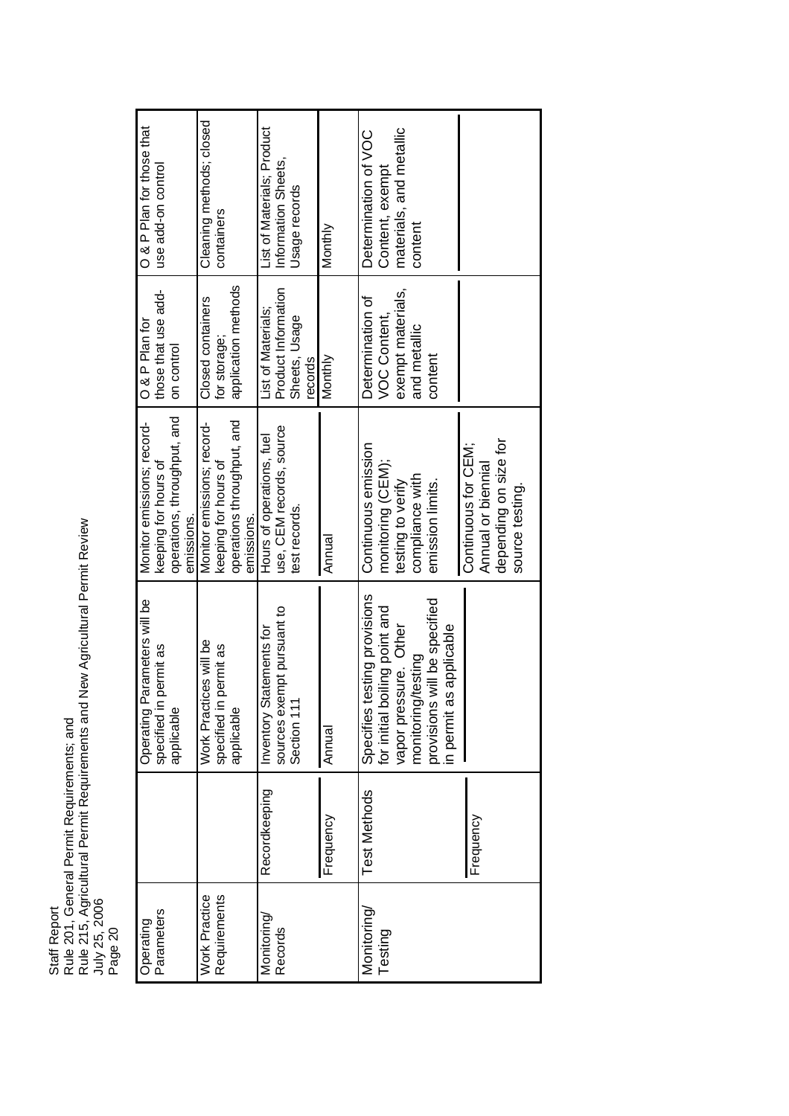Rule 201, General Permit Requirements; and<br>Rule 215, Agricultural Permit Requirements and New Agricultural Permit Review<br>July 25, 2006 Rule 215, Agricultural Permit Requirements and New Agricultural Permit Review Rule 201, General Permit Requirements; and Staff Report Staff Report Page 20

Cleaning methods; closed Cleaning methods; closed List of Materials; Product O & P Plan for those that & P Plan for those that materials, and metallic List of Materials; Product Determination of VOC materials, and metallic Determination of VOC Information Sheets, Information Sheets, use add-on control Content, exempt use add-on control Content, exempt Jsage records Usage records containers contentMonthly Annual Monthly Monthly List of Materials;<br>Product Information those that use add-<br>on control for storage;<br>application methods application methods VOC Content,<br>exempt materials, Product Information exempt materials, Closed containers Determination of Closed containers Determination of List of Materials; Sheets, Usage Sheets, Usage O & P Plan for and metallic content records<br>Monthly Monitor emissions; record- keeping for hours of operations, throughput, and Monitor emissions; record-<br>keeping for hours of<br>operations throughput, and operations throughput, and use, CEM records, source use, CEM records, source emissions.<br>Hours of operations, fuel Hours of operations, fuel depending on size for depending on size for Continuous emission Continuous for CEM; Continuous emission Continuous for CEM; Annual or biennial monitoring (CEM); monitoring (CEM); Annual or biennial compliance with compliance with testing to verify testing to verify emission limits. emission limits. source testing. source testing. est records. test records. emissions. Annual Specifies testing provisions Operating Parameters will be Specifies testing provisions provisions will be specified Operating Parameters will be provisions will be specified sources exempt pursuant to for initial boiling point and sources exempt pursuant to for initial boiling point and vapor pressure. Other in permit as applicable Inventory Statements for vapor pressure. Other Inventory Statements for in permit as applicable **Nork Practices will be** Work Practices will be specified in permit as specified in permit as specified in permit as specified in permit as monitoring/testing monitoring/testing Section 111 applicable applicable Annual Recordkeeping Test Methods Recordkeeping Frequency **Frequency** Work Practice<br>Requirements Requirements Monitoring/ Parameters Monitoring/ **Operating** Testing Records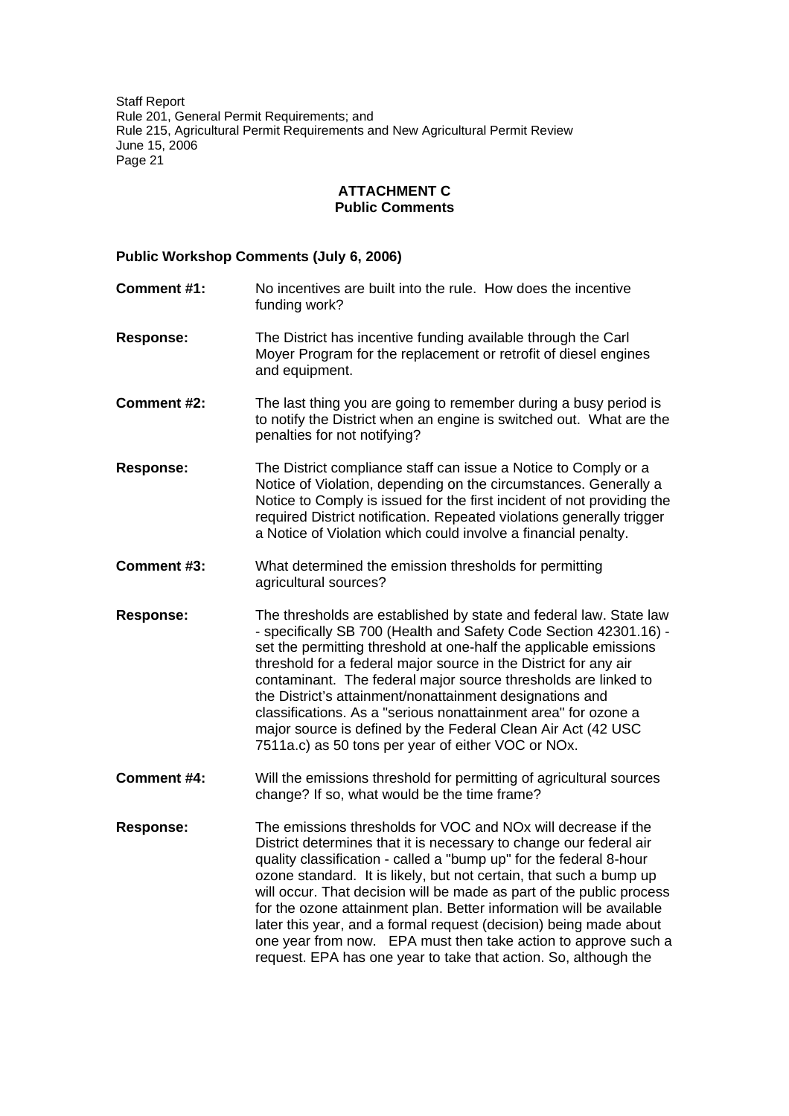### **ATTACHMENT C Public Comments**

### **Public Workshop Comments (July 6, 2006)**

**Comment #1:** No incentives are built into the rule. How does the incentive funding work? **Response:** The District has incentive funding available through the Carl Moyer Program for the replacement or retrofit of diesel engines and equipment. **Comment #2:** The last thing you are going to remember during a busy period is to notify the District when an engine is switched out. What are the penalties for not notifying? **Response:** The District compliance staff can issue a Notice to Comply or a Notice of Violation, depending on the circumstances. Generally a Notice to Comply is issued for the first incident of not providing the required District notification. Repeated violations generally trigger a Notice of Violation which could involve a financial penalty. **Comment #3:** What determined the emission thresholds for permitting agricultural sources? **Response:** The thresholds are established by state and federal law. State law - specifically SB 700 (Health and Safety Code Section 42301.16) set the permitting threshold at one-half the applicable emissions threshold for a federal major source in the District for any air contaminant. The federal major source thresholds are linked to the District's attainment/nonattainment designations and classifications. As a "serious nonattainment area" for ozone a major source is defined by the Federal Clean Air Act (42 USC 7511a.c) as 50 tons per year of either VOC or NOx. **Comment #4:** Will the emissions threshold for permitting of agricultural sources change? If so, what would be the time frame? **Response:** The emissions thresholds for VOC and NOx will decrease if the District determines that it is necessary to change our federal air quality classification - called a "bump up" for the federal 8-hour ozone standard. It is likely, but not certain, that such a bump up will occur. That decision will be made as part of the public process for the ozone attainment plan. Better information will be available later this year, and a formal request (decision) being made about one year from now. EPA must then take action to approve such a request. EPA has one year to take that action. So, although the